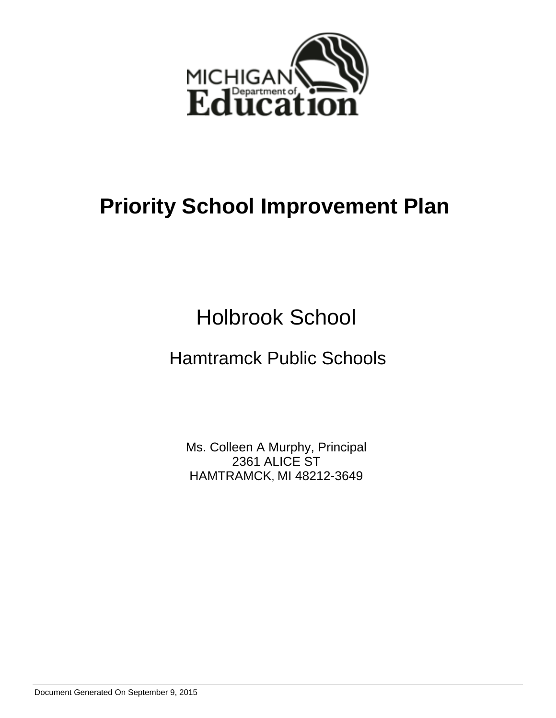

Holbrook School

# Hamtramck Public Schools

Ms. Colleen A Murphy, Principal 2361 ALICE ST HAMTRAMCK, MI 48212-3649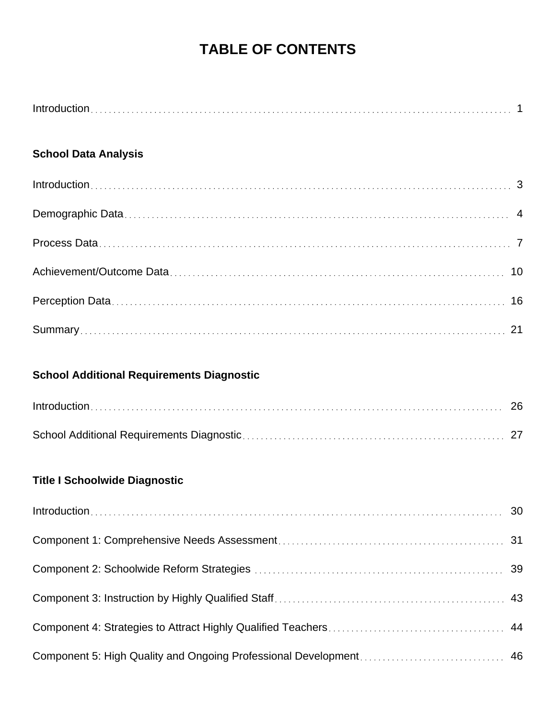# **TABLE OF CONTENTS**

# **School Data Analysis**

# **School Additional Requirements Diagnostic**

# **Title I Schoolwide Diagnostic**

| $Introduction \dots 30$ |  |
|-------------------------|--|
|                         |  |
|                         |  |
|                         |  |
|                         |  |
|                         |  |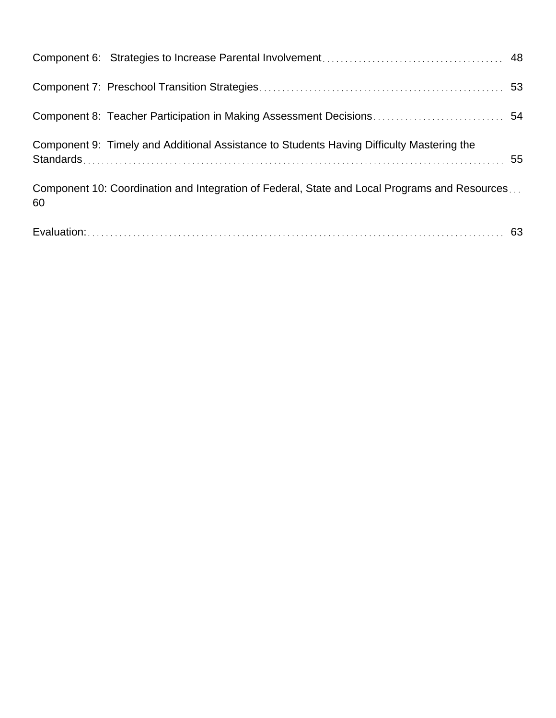|    | Component 9: Timely and Additional Assistance to Students Having Difficulty Mastering the     |  |
|----|-----------------------------------------------------------------------------------------------|--|
| 60 | Component 10: Coordination and Integration of Federal, State and Local Programs and Resources |  |
|    |                                                                                               |  |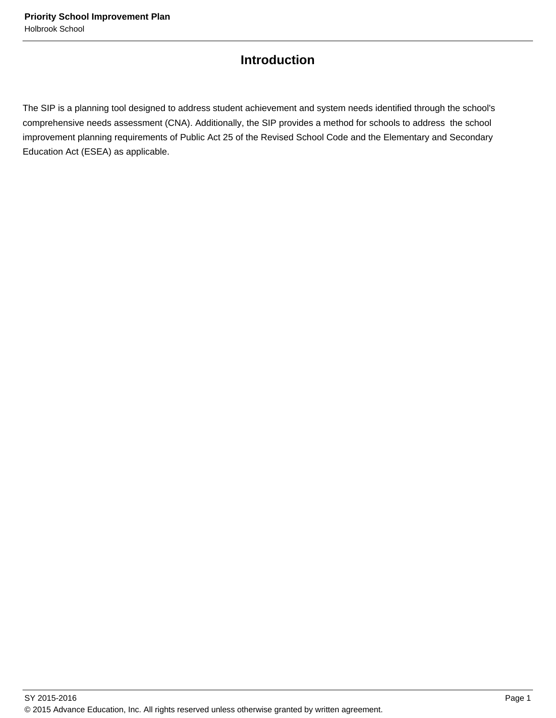# **Introduction**

The SIP is a planning tool designed to address student achievement and system needs identified through the school's comprehensive needs assessment (CNA). Additionally, the SIP provides a method for schools to address the school improvement planning requirements of Public Act 25 of the Revised School Code and the Elementary and Secondary Education Act (ESEA) as applicable.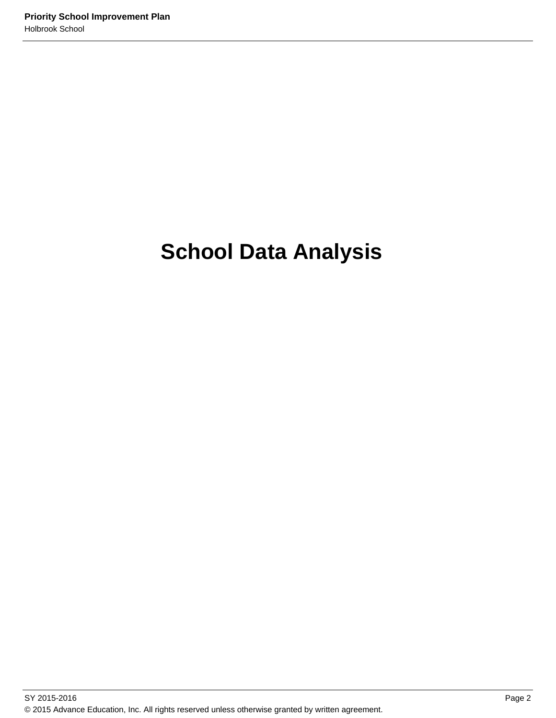# **School Data Analysis**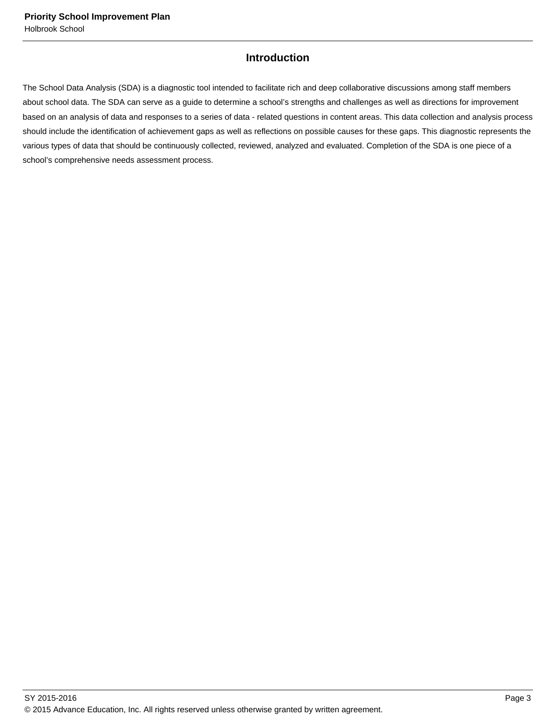# **Introduction**

The School Data Analysis (SDA) is a diagnostic tool intended to facilitate rich and deep collaborative discussions among staff members about school data. The SDA can serve as a guide to determine a school's strengths and challenges as well as directions for improvement based on an analysis of data and responses to a series of data - related questions in content areas. This data collection and analysis process should include the identification of achievement gaps as well as reflections on possible causes for these gaps. This diagnostic represents the various types of data that should be continuously collected, reviewed, analyzed and evaluated. Completion of the SDA is one piece of a school's comprehensive needs assessment process.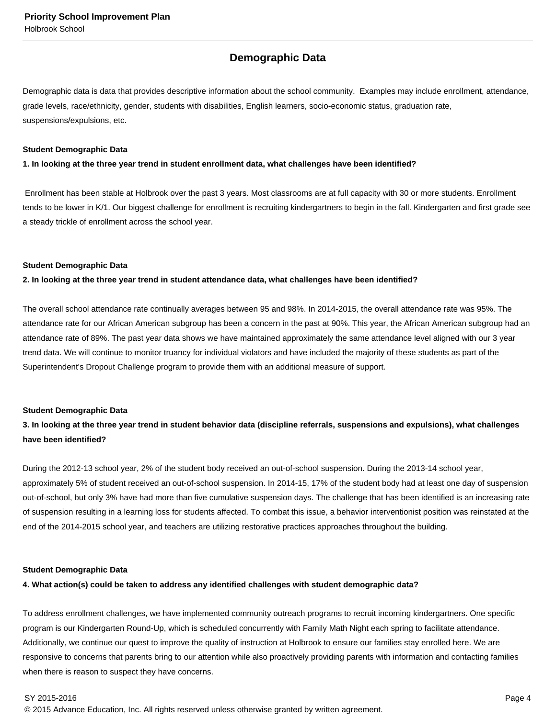# **Demographic Data**

Demographic data is data that provides descriptive information about the school community. Examples may include enrollment, attendance, grade levels, race/ethnicity, gender, students with disabilities, English learners, socio-economic status, graduation rate, suspensions/expulsions, etc.

#### **Student Demographic Data**

#### **1. In looking at the three year trend in student enrollment data, what challenges have been identified?**

 Enrollment has been stable at Holbrook over the past 3 years. Most classrooms are at full capacity with 30 or more students. Enrollment tends to be lower in K/1. Our biggest challenge for enrollment is recruiting kindergartners to begin in the fall. Kindergarten and first grade see a steady trickle of enrollment across the school year.

#### **Student Demographic Data**

#### **2. In looking at the three year trend in student attendance data, what challenges have been identified?**

The overall school attendance rate continually averages between 95 and 98%. In 2014-2015, the overall attendance rate was 95%. The attendance rate for our African American subgroup has been a concern in the past at 90%. This year, the African American subgroup had an attendance rate of 89%. The past year data shows we have maintained approximately the same attendance level aligned with our 3 year trend data. We will continue to monitor truancy for individual violators and have included the majority of these students as part of the Superintendent's Dropout Challenge program to provide them with an additional measure of support.

#### **Student Demographic Data**

# **3. In looking at the three year trend in student behavior data (discipline referrals, suspensions and expulsions), what challenges have been identified?**

During the 2012-13 school year, 2% of the student body received an out-of-school suspension. During the 2013-14 school year, approximately 5% of student received an out-of-school suspension. In 2014-15, 17% of the student body had at least one day of suspension out-of-school, but only 3% have had more than five cumulative suspension days. The challenge that has been identified is an increasing rate of suspension resulting in a learning loss for students affected. To combat this issue, a behavior interventionist position was reinstated at the end of the 2014-2015 school year, and teachers are utilizing restorative practices approaches throughout the building.

#### **Student Demographic Data**

## **4. What action(s) could be taken to address any identified challenges with student demographic data?**

To address enrollment challenges, we have implemented community outreach programs to recruit incoming kindergartners. One specific program is our Kindergarten Round-Up, which is scheduled concurrently with Family Math Night each spring to facilitate attendance. Additionally, we continue our quest to improve the quality of instruction at Holbrook to ensure our families stay enrolled here. We are responsive to concerns that parents bring to our attention while also proactively providing parents with information and contacting families when there is reason to suspect they have concerns.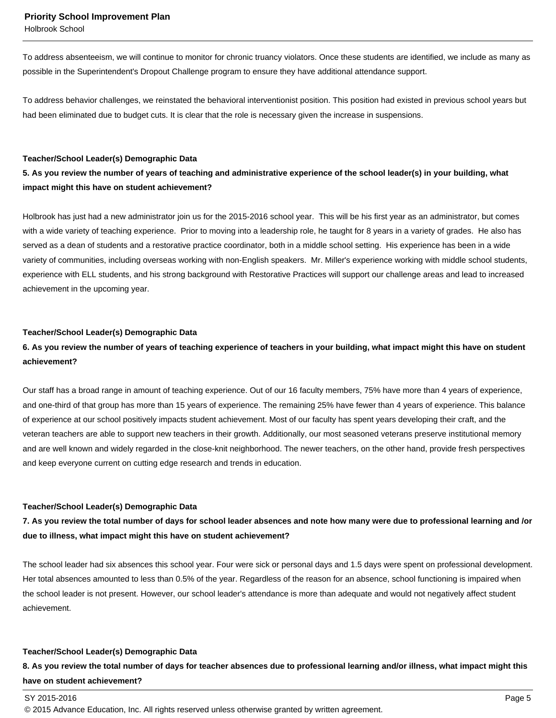Holbrook School

To address absenteeism, we will continue to monitor for chronic truancy violators. Once these students are identified, we include as many as possible in the Superintendent's Dropout Challenge program to ensure they have additional attendance support.

To address behavior challenges, we reinstated the behavioral interventionist position. This position had existed in previous school years but had been eliminated due to budget cuts. It is clear that the role is necessary given the increase in suspensions.

#### **Teacher/School Leader(s) Demographic Data**

# **5. As you review the number of years of teaching and administrative experience of the school leader(s) in your building, what impact might this have on student achievement?**

Holbrook has just had a new administrator join us for the 2015-2016 school year. This will be his first year as an administrator, but comes with a wide variety of teaching experience. Prior to moving into a leadership role, he taught for 8 years in a variety of grades. He also has served as a dean of students and a restorative practice coordinator, both in a middle school setting. His experience has been in a wide variety of communities, including overseas working with non-English speakers. Mr. Miller's experience working with middle school students, experience with ELL students, and his strong background with Restorative Practices will support our challenge areas and lead to increased achievement in the upcoming year.

#### **Teacher/School Leader(s) Demographic Data**

# **6. As you review the number of years of teaching experience of teachers in your building, what impact might this have on student achievement?**

Our staff has a broad range in amount of teaching experience. Out of our 16 faculty members, 75% have more than 4 years of experience, and one-third of that group has more than 15 years of experience. The remaining 25% have fewer than 4 years of experience. This balance of experience at our school positively impacts student achievement. Most of our faculty has spent years developing their craft, and the veteran teachers are able to support new teachers in their growth. Additionally, our most seasoned veterans preserve institutional memory and are well known and widely regarded in the close-knit neighborhood. The newer teachers, on the other hand, provide fresh perspectives and keep everyone current on cutting edge research and trends in education.

#### **Teacher/School Leader(s) Demographic Data**

## **7. As you review the total number of days for school leader absences and note how many were due to professional learning and /or due to illness, what impact might this have on student achievement?**

The school leader had six absences this school year. Four were sick or personal days and 1.5 days were spent on professional development. Her total absences amounted to less than 0.5% of the year. Regardless of the reason for an absence, school functioning is impaired when the school leader is not present. However, our school leader's attendance is more than adequate and would not negatively affect student achievement.

#### **Teacher/School Leader(s) Demographic Data**

**8. As you review the total number of days for teacher absences due to professional learning and/or illness, what impact might this have on student achievement?**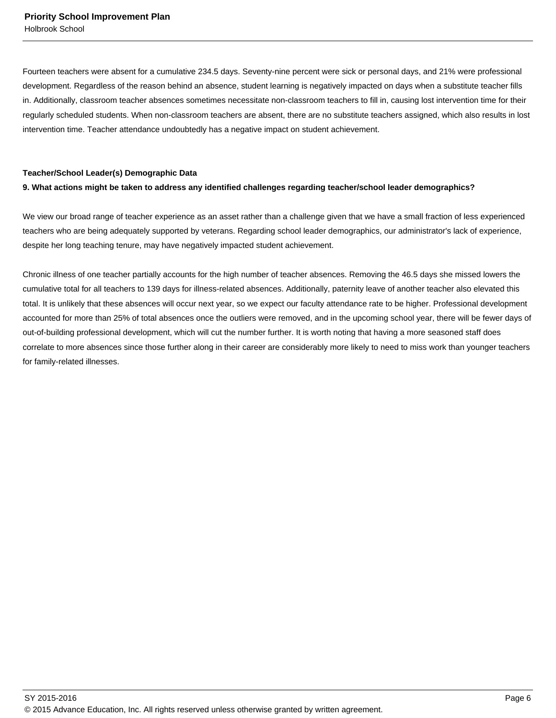Fourteen teachers were absent for a cumulative 234.5 days. Seventy-nine percent were sick or personal days, and 21% were professional development. Regardless of the reason behind an absence, student learning is negatively impacted on days when a substitute teacher fills in. Additionally, classroom teacher absences sometimes necessitate non-classroom teachers to fill in, causing lost intervention time for their regularly scheduled students. When non-classroom teachers are absent, there are no substitute teachers assigned, which also results in lost intervention time. Teacher attendance undoubtedly has a negative impact on student achievement.

#### **Teacher/School Leader(s) Demographic Data**

## **9. What actions might be taken to address any identified challenges regarding teacher/school leader demographics?**

We view our broad range of teacher experience as an asset rather than a challenge given that we have a small fraction of less experienced teachers who are being adequately supported by veterans. Regarding school leader demographics, our administrator's lack of experience, despite her long teaching tenure, may have negatively impacted student achievement.

Chronic illness of one teacher partially accounts for the high number of teacher absences. Removing the 46.5 days she missed lowers the cumulative total for all teachers to 139 days for illness-related absences. Additionally, paternity leave of another teacher also elevated this total. It is unlikely that these absences will occur next year, so we expect our faculty attendance rate to be higher. Professional development accounted for more than 25% of total absences once the outliers were removed, and in the upcoming school year, there will be fewer days of out-of-building professional development, which will cut the number further. It is worth noting that having a more seasoned staff does correlate to more absences since those further along in their career are considerably more likely to need to miss work than younger teachers for family-related illnesses.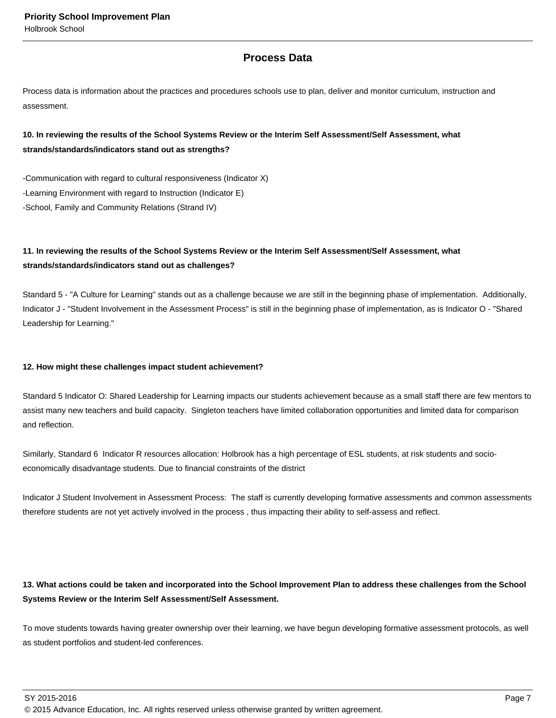# **Process Data**

Process data is information about the practices and procedures schools use to plan, deliver and monitor curriculum, instruction and assessment.

# **10. In reviewing the results of the School Systems Review or the Interim Self Assessment/Self Assessment, what strands/standards/indicators stand out as strengths?**

-Communication with regard to cultural responsiveness (Indicator X) -Learning Environment with regard to Instruction (Indicator E) -School, Family and Community Relations (Strand IV)

# **11. In reviewing the results of the School Systems Review or the Interim Self Assessment/Self Assessment, what strands/standards/indicators stand out as challenges?**

Standard 5 - "A Culture for Learning" stands out as a challenge because we are still in the beginning phase of implementation. Additionally, Indicator J - "Student Involvement in the Assessment Process" is still in the beginning phase of implementation, as is Indicator O - "Shared Leadership for Learning."

## **12. How might these challenges impact student achievement?**

Standard 5 Indicator O: Shared Leadership for Learning impacts our students achievement because as a small staff there are few mentors to assist many new teachers and build capacity. Singleton teachers have limited collaboration opportunities and limited data for comparison and reflection.

Similarly, Standard 6 Indicator R resources allocation: Holbrook has a high percentage of ESL students, at risk students and socioeconomically disadvantage students. Due to financial constraints of the district

Indicator J Student Involvement in Assessment Process: The staff is currently developing formative assessments and common assessments therefore students are not yet actively involved in the process , thus impacting their ability to self-assess and reflect.

## **13. What actions could be taken and incorporated into the School Improvement Plan to address these challenges from the School Systems Review or the Interim Self Assessment/Self Assessment.**

To move students towards having greater ownership over their learning, we have begun developing formative assessment protocols, as well as student portfolios and student-led conferences.

SY 2015-2016 Page 7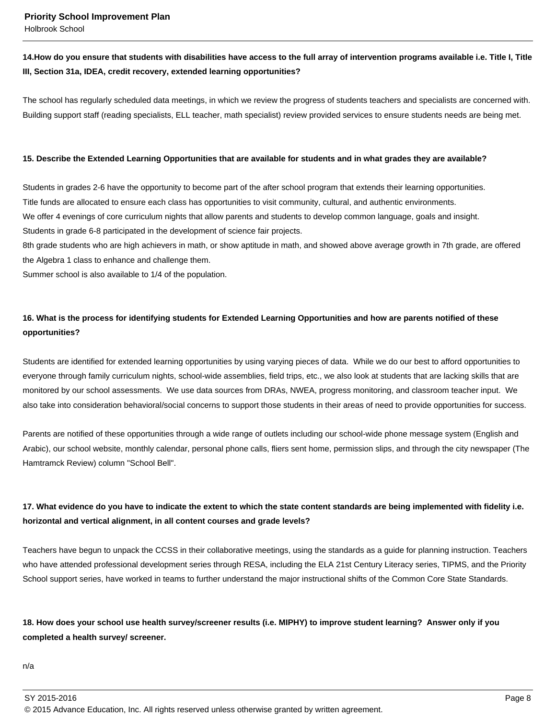# 14. How do you ensure that students with disabilities have access to the full array of intervention programs available i.e. Title I, Title **III, Section 31a, IDEA, credit recovery, extended learning opportunities?**

The school has regularly scheduled data meetings, in which we review the progress of students teachers and specialists are concerned with. Building support staff (reading specialists, ELL teacher, math specialist) review provided services to ensure students needs are being met.

## **15. Describe the Extended Learning Opportunities that are available for students and in what grades they are available?**

Students in grades 2-6 have the opportunity to become part of the after school program that extends their learning opportunities. Title funds are allocated to ensure each class has opportunities to visit community, cultural, and authentic environments. We offer 4 evenings of core curriculum nights that allow parents and students to develop common language, goals and insight. Students in grade 6-8 participated in the development of science fair projects.

8th grade students who are high achievers in math, or show aptitude in math, and showed above average growth in 7th grade, are offered the Algebra 1 class to enhance and challenge them.

Summer school is also available to 1/4 of the population.

# **16. What is the process for identifying students for Extended Learning Opportunities and how are parents notified of these opportunities?**

Students are identified for extended learning opportunities by using varying pieces of data. While we do our best to afford opportunities to everyone through family curriculum nights, school-wide assemblies, field trips, etc., we also look at students that are lacking skills that are monitored by our school assessments. We use data sources from DRAs, NWEA, progress monitoring, and classroom teacher input. We also take into consideration behavioral/social concerns to support those students in their areas of need to provide opportunities for success.

Parents are notified of these opportunities through a wide range of outlets including our school-wide phone message system (English and Arabic), our school website, monthly calendar, personal phone calls, fliers sent home, permission slips, and through the city newspaper (The Hamtramck Review) column "School Bell".

# **17. What evidence do you have to indicate the extent to which the state content standards are being implemented with fidelity i.e. horizontal and vertical alignment, in all content courses and grade levels?**

Teachers have begun to unpack the CCSS in their collaborative meetings, using the standards as a guide for planning instruction. Teachers who have attended professional development series through RESA, including the ELA 21st Century Literacy series, TIPMS, and the Priority School support series, have worked in teams to further understand the major instructional shifts of the Common Core State Standards.

# **18. How does your school use health survey/screener results (i.e. MIPHY) to improve student learning? Answer only if you completed a health survey/ screener.**

n/a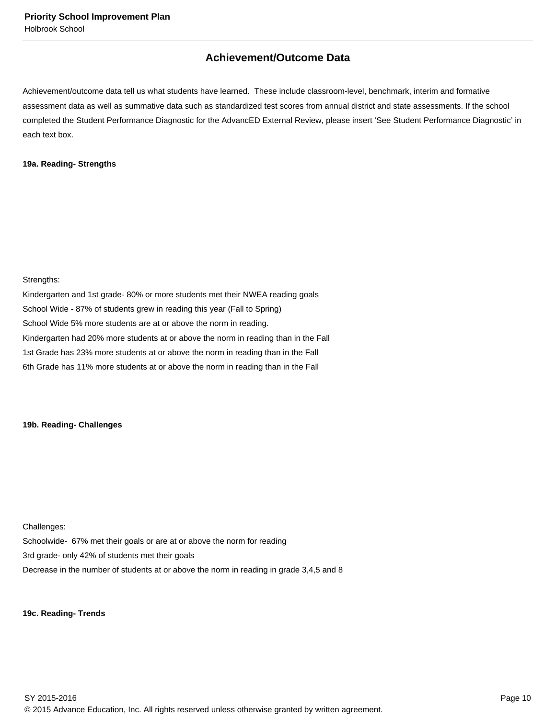# **Achievement/Outcome Data**

Achievement/outcome data tell us what students have learned. These include classroom-level, benchmark, interim and formative assessment data as well as summative data such as standardized test scores from annual district and state assessments. If the school completed the Student Performance Diagnostic for the AdvancED External Review, please insert 'See Student Performance Diagnostic' in each text box.

## **19a. Reading- Strengths**

Strengths:

Kindergarten and 1st grade- 80% or more students met their NWEA reading goals School Wide - 87% of students grew in reading this year (Fall to Spring) School Wide 5% more students are at or above the norm in reading. Kindergarten had 20% more students at or above the norm in reading than in the Fall 1st Grade has 23% more students at or above the norm in reading than in the Fall 6th Grade has 11% more students at or above the norm in reading than in the Fall

## **19b. Reading- Challenges**

Challenges: Schoolwide- 67% met their goals or are at or above the norm for reading 3rd grade- only 42% of students met their goals Decrease in the number of students at or above the norm in reading in grade 3,4,5 and 8

#### **19c. Reading- Trends**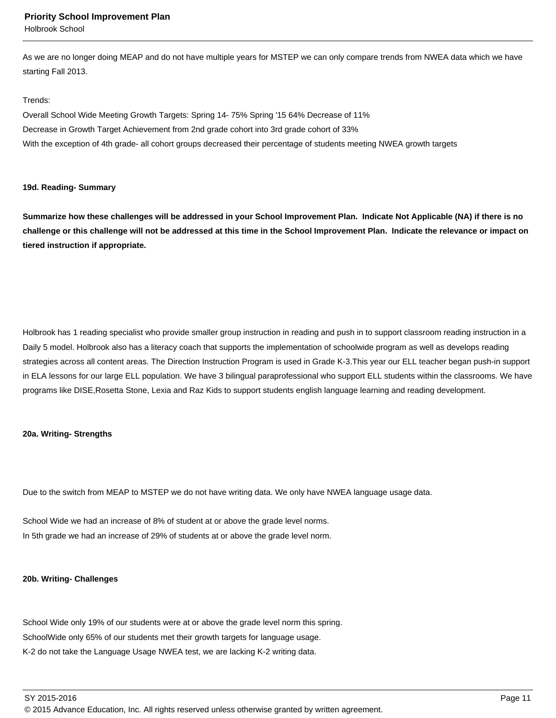Holbrook School

As we are no longer doing MEAP and do not have multiple years for MSTEP we can only compare trends from NWEA data which we have starting Fall 2013.

#### Trends:

Overall School Wide Meeting Growth Targets: Spring 14- 75% Spring '15 64% Decrease of 11% Decrease in Growth Target Achievement from 2nd grade cohort into 3rd grade cohort of 33% With the exception of 4th grade- all cohort groups decreased their percentage of students meeting NWEA growth targets

#### **19d. Reading- Summary**

**Summarize how these challenges will be addressed in your School Improvement Plan. Indicate Not Applicable (NA) if there is no challenge or this challenge will not be addressed at this time in the School Improvement Plan. Indicate the relevance or impact on tiered instruction if appropriate.**

Holbrook has 1 reading specialist who provide smaller group instruction in reading and push in to support classroom reading instruction in a Daily 5 model. Holbrook also has a literacy coach that supports the implementation of schoolwide program as well as develops reading strategies across all content areas. The Direction Instruction Program is used in Grade K-3.This year our ELL teacher began push-in support in ELA lessons for our large ELL population. We have 3 bilingual paraprofessional who support ELL students within the classrooms. We have programs like DISE,Rosetta Stone, Lexia and Raz Kids to support students english language learning and reading development.

## **20a. Writing- Strengths**

Due to the switch from MEAP to MSTEP we do not have writing data. We only have NWEA language usage data.

School Wide we had an increase of 8% of student at or above the grade level norms. In 5th grade we had an increase of 29% of students at or above the grade level norm.

#### **20b. Writing- Challenges**

School Wide only 19% of our students were at or above the grade level norm this spring. SchoolWide only 65% of our students met their growth targets for language usage. K-2 do not take the Language Usage NWEA test, we are lacking K-2 writing data.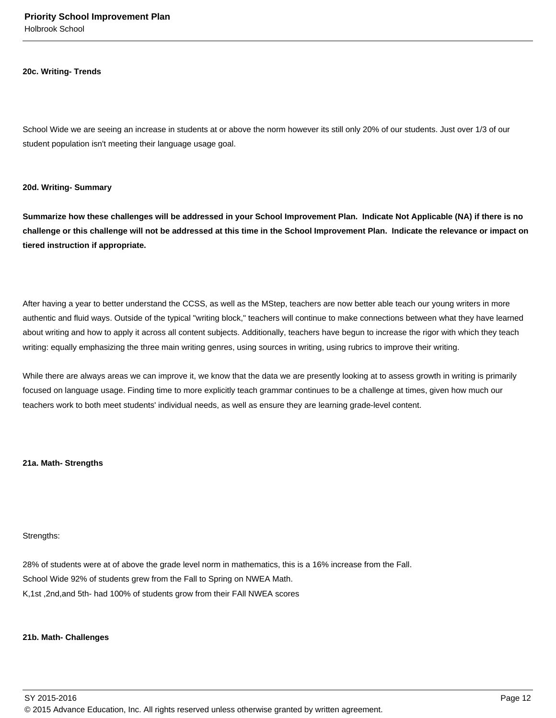#### **20c. Writing- Trends**

School Wide we are seeing an increase in students at or above the norm however its still only 20% of our students. Just over 1/3 of our student population isn't meeting their language usage goal.

#### **20d. Writing- Summary**

**Summarize how these challenges will be addressed in your School Improvement Plan. Indicate Not Applicable (NA) if there is no challenge or this challenge will not be addressed at this time in the School Improvement Plan. Indicate the relevance or impact on tiered instruction if appropriate.**

After having a year to better understand the CCSS, as well as the MStep, teachers are now better able teach our young writers in more authentic and fluid ways. Outside of the typical "writing block," teachers will continue to make connections between what they have learned about writing and how to apply it across all content subjects. Additionally, teachers have begun to increase the rigor with which they teach writing: equally emphasizing the three main writing genres, using sources in writing, using rubrics to improve their writing.

While there are always areas we can improve it, we know that the data we are presently looking at to assess growth in writing is primarily focused on language usage. Finding time to more explicitly teach grammar continues to be a challenge at times, given how much our teachers work to both meet students' individual needs, as well as ensure they are learning grade-level content.

#### **21a. Math- Strengths**

#### Strengths:

28% of students were at of above the grade level norm in mathematics, this is a 16% increase from the Fall. School Wide 92% of students grew from the Fall to Spring on NWEA Math. K,1st ,2nd,and 5th- had 100% of students grow from their FAll NWEA scores

#### **21b. Math- Challenges**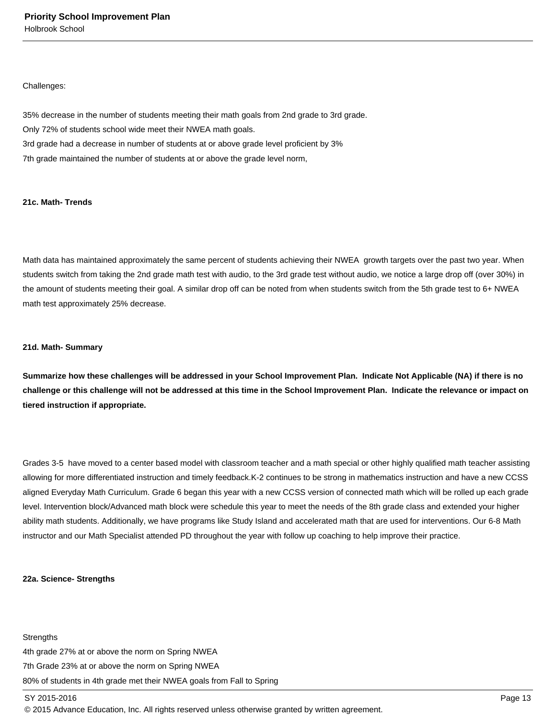#### Challenges:

35% decrease in the number of students meeting their math goals from 2nd grade to 3rd grade. Only 72% of students school wide meet their NWEA math goals. 3rd grade had a decrease in number of students at or above grade level proficient by 3% 7th grade maintained the number of students at or above the grade level norm,

## **21c. Math- Trends**

Math data has maintained approximately the same percent of students achieving their NWEA growth targets over the past two year. When students switch from taking the 2nd grade math test with audio, to the 3rd grade test without audio, we notice a large drop off (over 30%) in the amount of students meeting their goal. A similar drop off can be noted from when students switch from the 5th grade test to 6+ NWEA math test approximately 25% decrease.

#### **21d. Math- Summary**

**Summarize how these challenges will be addressed in your School Improvement Plan. Indicate Not Applicable (NA) if there is no challenge or this challenge will not be addressed at this time in the School Improvement Plan. Indicate the relevance or impact on tiered instruction if appropriate.**

Grades 3-5 have moved to a center based model with classroom teacher and a math special or other highly qualified math teacher assisting allowing for more differentiated instruction and timely feedback.K-2 continues to be strong in mathematics instruction and have a new CCSS aligned Everyday Math Curriculum. Grade 6 began this year with a new CCSS version of connected math which will be rolled up each grade level. Intervention block/Advanced math block were schedule this year to meet the needs of the 8th grade class and extended your higher ability math students. Additionally, we have programs like Study Island and accelerated math that are used for interventions. Our 6-8 Math instructor and our Math Specialist attended PD throughout the year with follow up coaching to help improve their practice.

#### **22a. Science- Strengths**

**Strengths** 4th grade 27% at or above the norm on Spring NWEA 7th Grade 23% at or above the norm on Spring NWEA 80% of students in 4th grade met their NWEA goals from Fall to Spring

#### SY 2015-2016 Page 13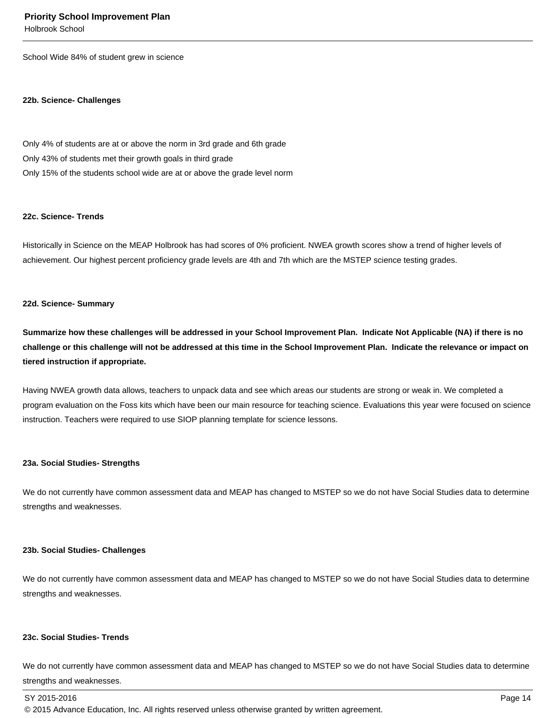Holbrook School

School Wide 84% of student grew in science

#### **22b. Science- Challenges**

Only 4% of students are at or above the norm in 3rd grade and 6th grade Only 43% of students met their growth goals in third grade Only 15% of the students school wide are at or above the grade level norm

#### **22c. Science- Trends**

Historically in Science on the MEAP Holbrook has had scores of 0% proficient. NWEA growth scores show a trend of higher levels of achievement. Our highest percent proficiency grade levels are 4th and 7th which are the MSTEP science testing grades.

#### **22d. Science- Summary**

**Summarize how these challenges will be addressed in your School Improvement Plan. Indicate Not Applicable (NA) if there is no challenge or this challenge will not be addressed at this time in the School Improvement Plan. Indicate the relevance or impact on tiered instruction if appropriate.**

Having NWEA growth data allows, teachers to unpack data and see which areas our students are strong or weak in. We completed a program evaluation on the Foss kits which have been our main resource for teaching science. Evaluations this year were focused on science instruction. Teachers were required to use SIOP planning template for science lessons.

#### **23a. Social Studies- Strengths**

We do not currently have common assessment data and MEAP has changed to MSTEP so we do not have Social Studies data to determine strengths and weaknesses.

#### **23b. Social Studies- Challenges**

We do not currently have common assessment data and MEAP has changed to MSTEP so we do not have Social Studies data to determine strengths and weaknesses.

#### **23c. Social Studies- Trends**

We do not currently have common assessment data and MEAP has changed to MSTEP so we do not have Social Studies data to determine strengths and weaknesses.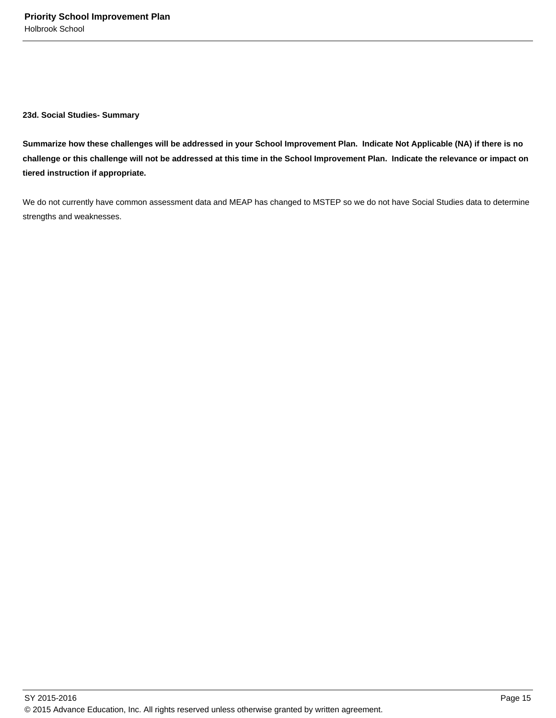**23d. Social Studies- Summary**

**Summarize how these challenges will be addressed in your School Improvement Plan. Indicate Not Applicable (NA) if there is no challenge or this challenge will not be addressed at this time in the School Improvement Plan. Indicate the relevance or impact on tiered instruction if appropriate.**

We do not currently have common assessment data and MEAP has changed to MSTEP so we do not have Social Studies data to determine strengths and weaknesses.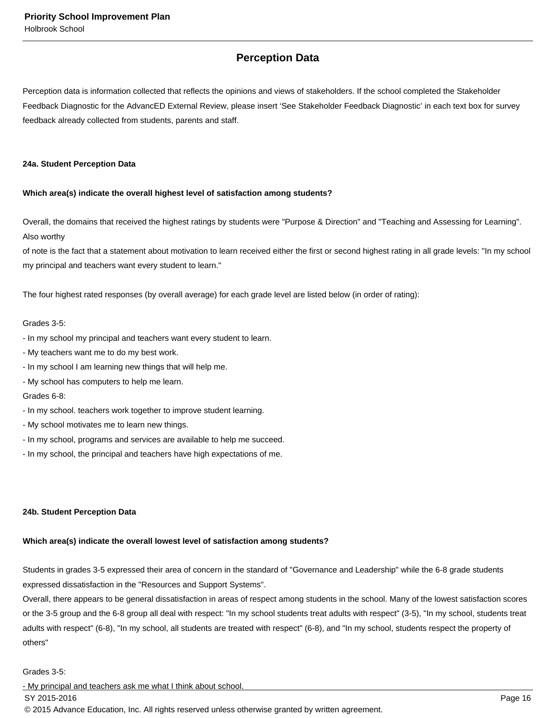# **Perception Data**

Perception data is information collected that reflects the opinions and views of stakeholders. If the school completed the Stakeholder Feedback Diagnostic for the AdvancED External Review, please insert 'See Stakeholder Feedback Diagnostic' in each text box for survey feedback already collected from students, parents and staff.

#### **24a. Student Perception Data**

## **Which area(s) indicate the overall highest level of satisfaction among students?**

Overall, the domains that received the highest ratings by students were "Purpose & Direction" and "Teaching and Assessing for Learning". Also worthy

of note is the fact that a statement about motivation to learn received either the first or second highest rating in all grade levels: "In my school my principal and teachers want every student to learn."

The four highest rated responses (by overall average) for each grade level are listed below (in order of rating):

## Grades 3-5:

- In my school my principal and teachers want every student to learn.
- My teachers want me to do my best work.
- In my school I am learning new things that will help me.
- My school has computers to help me learn.

## Grades 6-8:

- In my school. teachers work together to improve student learning.
- My school motivates me to learn new things.
- In my school, programs and services are available to help me succeed.
- In my school, the principal and teachers have high expectations of me.

## **24b. Student Perception Data**

## **Which area(s) indicate the overall lowest level of satisfaction among students?**

Students in grades 3-5 expressed their area of concern in the standard of "Governance and Leadership" while the 6-8 grade students expressed dissatisfaction in the "Resources and Support Systems".

Overall, there appears to be general dissatisfaction in areas of respect among students in the school. Many of the lowest satisfaction scores or the 3-5 group and the 6-8 group all deal with respect: "In my school students treat adults with respect" (3-5), "In my school, students treat adults with respect" (6-8), "In my school, all students are treated with respect" (6-8), and "In my school, students respect the property of others"

## Grades 3-5:

- My principal and teachers ask me what I think about school.

## $\,$  SY 2015-2016  $\,$  Page 16  $\,$  Page 16  $\,$  Page 16  $\,$  Page 16  $\,$  Page 16  $\,$  Page 16  $\,$  Page 16  $\,$  Page 16  $\,$  Page 16  $\,$  Page 16  $\,$  Page 16  $\,$  Page 16  $\,$  Page 16  $\,$  Page 16  $\,$  Page 16  $\,$  Pag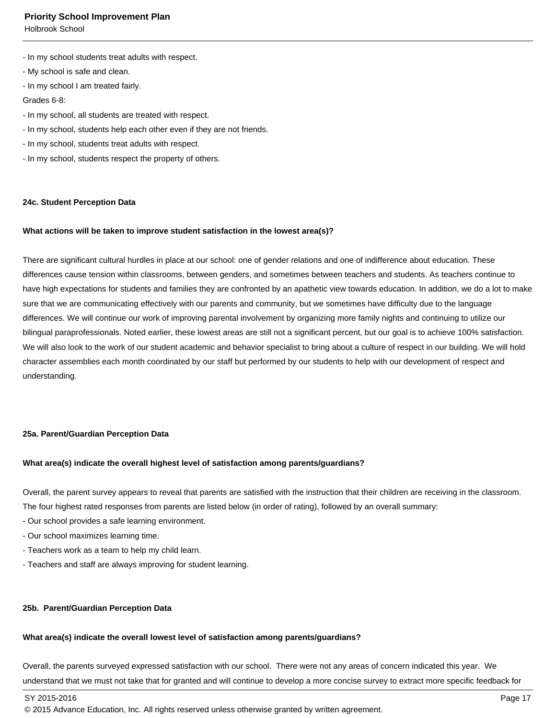Holbrook School

- In my school students treat adults with respect.
- My school is safe and clean.
- In my school I am treated fairly.

Grades 6-8:

- In my school, all students are treated with respect.
- In my school, students help each other even if they are not friends.
- In my school, students treat adults with respect.
- In my school, students respect the property of others.

#### **24c. Student Perception Data**

#### **What actions will be taken to improve student satisfaction in the lowest area(s)?**

There are significant cultural hurdles in place at our school: one of gender relations and one of indifference about education. These differences cause tension within classrooms, between genders, and sometimes between teachers and students. As teachers continue to have high expectations for students and families they are confronted by an apathetic view towards education. In addition, we do a lot to make sure that we are communicating effectively with our parents and community, but we sometimes have difficulty due to the language differences. We will continue our work of improving parental involvement by organizing more family nights and continuing to utilize our bilingual paraprofessionals. Noted earlier, these lowest areas are still not a significant percent, but our goal is to achieve 100% satisfaction. We will also look to the work of our student academic and behavior specialist to bring about a culture of respect in our building. We will hold character assemblies each month coordinated by our staff but performed by our students to help with our development of respect and understanding.

## **25a. Parent/Guardian Perception Data**

#### **What area(s) indicate the overall highest level of satisfaction among parents/guardians?**

Overall, the parent survey appears to reveal that parents are satisfied with the instruction that their children are receiving in the classroom. The four highest rated responses from parents are listed below (in order of rating), followed by an overall summary:

- Our school provides a safe learning environment.
- Our school maximizes learning time.
- Teachers work as a team to help my child learn.
- Teachers and staff are always improving for student learning.

#### **25b. Parent/Guardian Perception Data**

#### **What area(s) indicate the overall lowest level of satisfaction among parents/guardians?**

Overall, the parents surveyed expressed satisfaction with our school. There were not any areas of concern indicated this year. We understand that we must not take that for granted and will continue to develop a more concise survey to extract more specific feedback for

SY 2015-2016 Page 17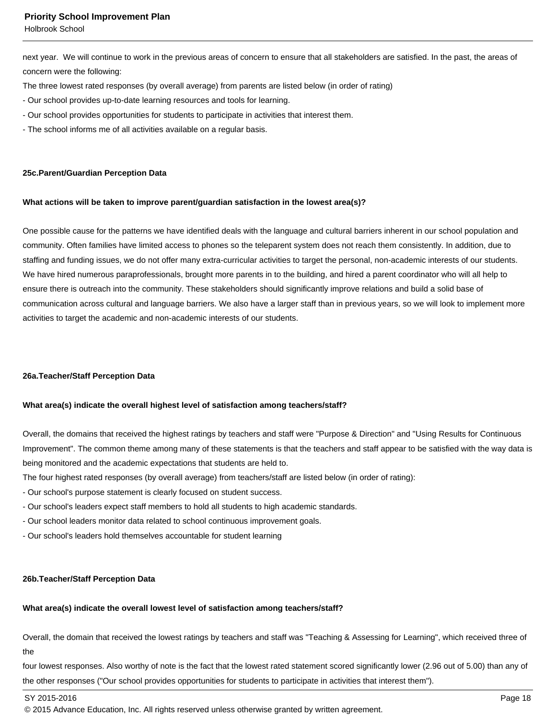Holbrook School

next year. We will continue to work in the previous areas of concern to ensure that all stakeholders are satisfied. In the past, the areas of concern were the following:

- The three lowest rated responses (by overall average) from parents are listed below (in order of rating)
- Our school provides up-to-date learning resources and tools for learning.
- Our school provides opportunities for students to participate in activities that interest them.
- The school informs me of all activities available on a regular basis.

#### **25c. Parent/Guardian Perception Data**

#### **What actions will be taken to improve parent/guardian satisfaction in the lowest area(s)?**

One possible cause for the patterns we have identified deals with the language and cultural barriers inherent in our school population and community. Often families have limited access to phones so the teleparent system does not reach them consistently. In addition, due to staffing and funding issues, we do not offer many extra-curricular activities to target the personal, non-academic interests of our students. We have hired numerous paraprofessionals, brought more parents in to the building, and hired a parent coordinator who will all help to ensure there is outreach into the community. These stakeholders should significantly improve relations and build a solid base of communication across cultural and language barriers. We also have a larger staff than in previous years, so we will look to implement more activities to target the academic and non-academic interests of our students.

#### **26a. Teacher/Staff Perception Data**

#### **What area(s) indicate the overall highest level of satisfaction among teachers/staff?**

Overall, the domains that received the highest ratings by teachers and staff were "Purpose & Direction" and "Using Results for Continuous Improvement". The common theme among many of these statements is that the teachers and staff appear to be satisfied with the way data is being monitored and the academic expectations that students are held to.

The four highest rated responses (by overall average) from teachers/staff are listed below (in order of rating):

- Our school's purpose statement is clearly focused on student success.
- Our school's leaders expect staff members to hold all students to high academic standards.
- Our school leaders monitor data related to school continuous improvement goals.
- Our school's leaders hold themselves accountable for student learning

#### **26b. Teacher/Staff Perception Data**

## **What area(s) indicate the overall lowest level of satisfaction among teachers/staff?**

Overall, the domain that received the lowest ratings by teachers and staff was "Teaching & Assessing for Learning", which received three of the

four lowest responses. Also worthy of note is the fact that the lowest rated statement scored significantly lower (2.96 out of 5.00) than any of the other responses ("Our school provides opportunities for students to participate in activities that interest them").

SY 2015-2016 Page 18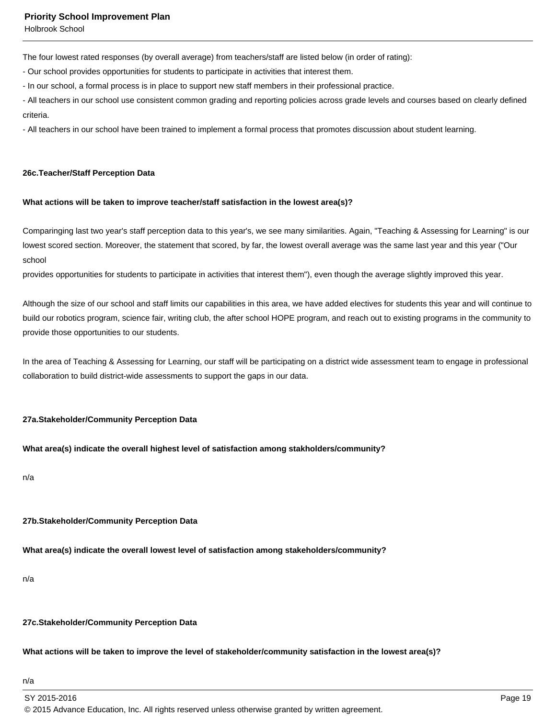Holbrook School

The four lowest rated responses (by overall average) from teachers/staff are listed below (in order of rating):

- Our school provides opportunities for students to participate in activities that interest them.

- In our school, a formal process is in place to support new staff members in their professional practice.

- All teachers in our school use consistent common grading and reporting policies across grade levels and courses based on clearly defined criteria.

- All teachers in our school have been trained to implement a formal process that promotes discussion about student learning.

#### **26c. Teacher/Staff Perception Data**

#### **What actions will be taken to improve teacher/staff satisfaction in the lowest area(s)?**

Comparinging last two year's staff perception data to this year's, we see many similarities. Again, "Teaching & Assessing for Learning" is our lowest scored section. Moreover, the statement that scored, by far, the lowest overall average was the same last year and this year ("Our school

provides opportunities for students to participate in activities that interest them"), even though the average slightly improved this year.

Although the size of our school and staff limits our capabilities in this area, we have added electives for students this year and will continue to build our robotics program, science fair, writing club, the after school HOPE program, and reach out to existing programs in the community to provide those opportunities to our students.

In the area of Teaching & Assessing for Learning, our staff will be participating on a district wide assessment team to engage in professional collaboration to build district-wide assessments to support the gaps in our data.

#### **27a. Stakeholder/Community Perception Data**

## **What area(s) indicate the overall highest level of satisfaction among stakholders/community?**

n/a

## **27b. Stakeholder/Community Perception Data**

**What area(s) indicate the overall lowest level of satisfaction among stakeholders/community?**

n/a

#### **27c. Stakeholder/Community Perception Data**

#### **What actions will be taken to improve the level of stakeholder/community satisfaction in the lowest area(s)?**

## n/a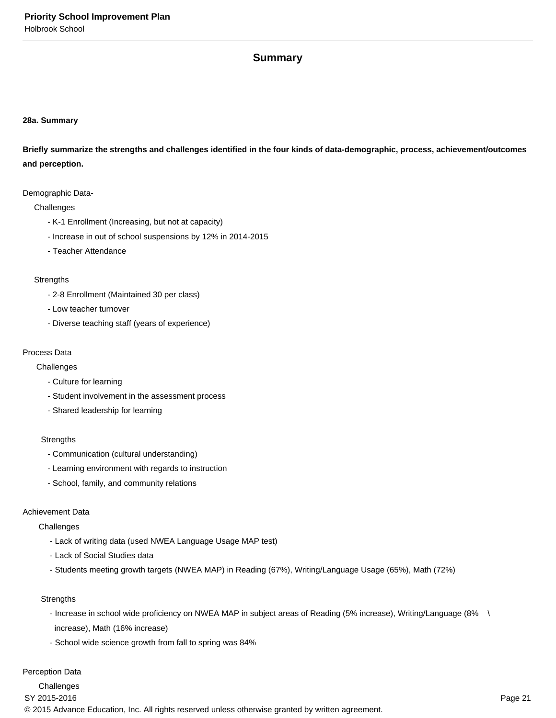# **Summary**

## **28a. Summary**

**Briefly summarize the strengths and challenges identified in the four kinds of data-demographic, process, achievement/outcomes and perception.**

#### Demographic Data-

#### **Challenges**

- K-1 Enrollment (Increasing, but not at capacity)
- Increase in out of school suspensions by 12% in 2014-2015
- Teacher Attendance

#### **Strengths**

- 2-8 Enrollment (Maintained 30 per class)
- Low teacher turnover
- Diverse teaching staff (years of experience)

#### Process Data

**Challenges** 

- Culture for learning
- Student involvement in the assessment process
- Shared leadership for learning

#### **Strengths**

- Communication (cultural understanding)
- Learning environment with regards to instruction
- School, family, and community relations

#### Achievement Data

#### **Challenges**

- Lack of writing data (used NWEA Language Usage MAP test)
- Lack of Social Studies data
- Students meeting growth targets (NWEA MAP) in Reading (67%), Writing/Language Usage (65%), Math (72%)

## **Strengths**

- Increase in school wide proficiency on NWEA MAP in subject areas of Reading (5% increase), Writing/Language (8% \ increase), Math (16% increase)
- School wide science growth from fall to spring was 84%

## Perception Data

**Challenges**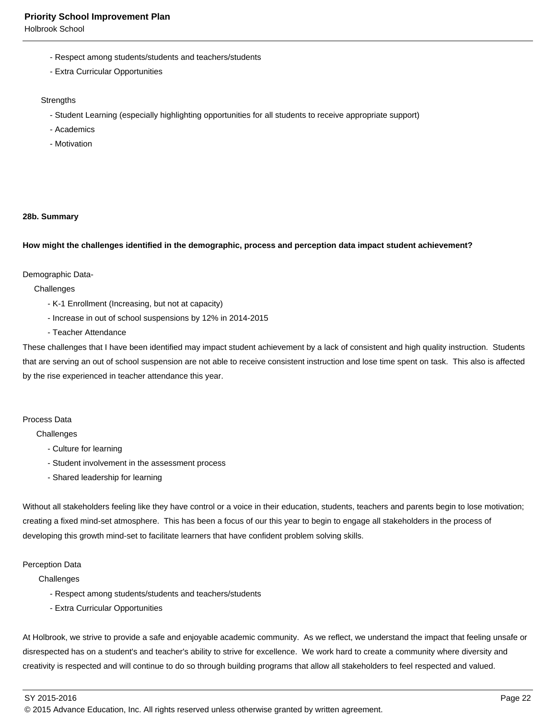Holbrook School

- Respect among students/students and teachers/students
- Extra Curricular Opportunities

#### **Strengths**

- Student Learning (especially highlighting opportunities for all students to receive appropriate support)
- Academics
- Motivation

#### **28b. Summary**

#### **How might the challenges identified in the demographic, process and perception data impact student achievement?**

#### Demographic Data-

**Challenges** 

- K-1 Enrollment (Increasing, but not at capacity)
- Increase in out of school suspensions by 12% in 2014-2015
- Teacher Attendance

These challenges that I have been identified may impact student achievement by a lack of consistent and high quality instruction. Students that are serving an out of school suspension are not able to receive consistent instruction and lose time spent on task. This also is affected by the rise experienced in teacher attendance this year.

#### Process Data

**Challenges** 

- Culture for learning
- Student involvement in the assessment process
- Shared leadership for learning

Without all stakeholders feeling like they have control or a voice in their education, students, teachers and parents begin to lose motivation; creating a fixed mind-set atmosphere. This has been a focus of our this year to begin to engage all stakeholders in the process of developing this growth mind-set to facilitate learners that have confident problem solving skills.

#### Perception Data

**Challenges** 

- Respect among students/students and teachers/students
- Extra Curricular Opportunities

At Holbrook, we strive to provide a safe and enjoyable academic community. As we reflect, we understand the impact that feeling unsafe or disrespected has on a student's and teacher's ability to strive for excellence. We work hard to create a community where diversity and creativity is respected and will continue to do so through building programs that allow all stakeholders to feel respected and valued.

SY 2015-2016 Page 22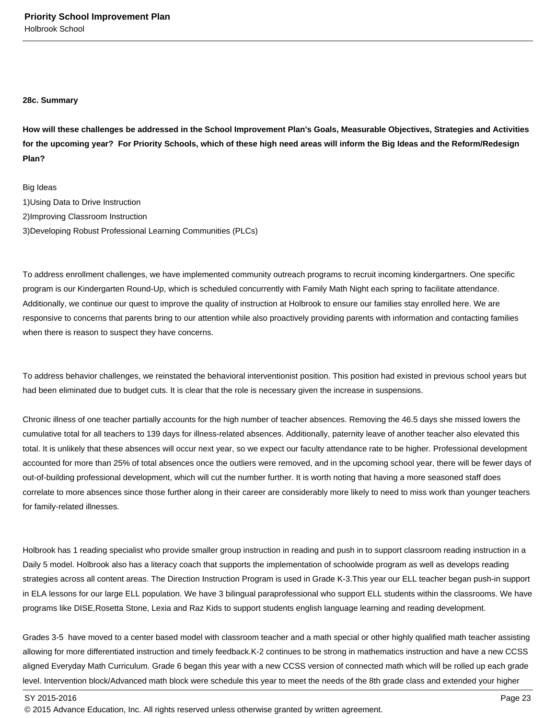#### **28c. Summary**

**How will these challenges be addressed in the School Improvement Plan's Goals, Measurable Objectives, Strategies and Activities for the upcoming year? For Priority Schools, which of these high need areas will inform the Big Ideas and the Reform/Redesign Plan?**

Big Ideas

- 1) Using Data to Drive Instruction
- 2) Improving Classroom Instruction
- 3) Developing Robust Professional Learning Communities (PLCs)

To address enrollment challenges, we have implemented community outreach programs to recruit incoming kindergartners. One specific program is our Kindergarten Round-Up, which is scheduled concurrently with Family Math Night each spring to facilitate attendance. Additionally, we continue our quest to improve the quality of instruction at Holbrook to ensure our families stay enrolled here. We are responsive to concerns that parents bring to our attention while also proactively providing parents with information and contacting families when there is reason to suspect they have concerns.

To address behavior challenges, we reinstated the behavioral interventionist position. This position had existed in previous school years but had been eliminated due to budget cuts. It is clear that the role is necessary given the increase in suspensions.

Chronic illness of one teacher partially accounts for the high number of teacher absences. Removing the 46.5 days she missed lowers the cumulative total for all teachers to 139 days for illness-related absences. Additionally, paternity leave of another teacher also elevated this total. It is unlikely that these absences will occur next year, so we expect our faculty attendance rate to be higher. Professional development accounted for more than 25% of total absences once the outliers were removed, and in the upcoming school year, there will be fewer days of out-of-building professional development, which will cut the number further. It is worth noting that having a more seasoned staff does correlate to more absences since those further along in their career are considerably more likely to need to miss work than younger teachers for family-related illnesses.

Holbrook has 1 reading specialist who provide smaller group instruction in reading and push in to support classroom reading instruction in a Daily 5 model. Holbrook also has a literacy coach that supports the implementation of schoolwide program as well as develops reading strategies across all content areas. The Direction Instruction Program is used in Grade K-3.This year our ELL teacher began push-in support in ELA lessons for our large ELL population. We have 3 bilingual paraprofessional who support ELL students within the classrooms. We have programs like DISE,Rosetta Stone, Lexia and Raz Kids to support students english language learning and reading development.

Grades 3-5 have moved to a center based model with classroom teacher and a math special or other highly qualified math teacher assisting allowing for more differentiated instruction and timely feedback.K-2 continues to be strong in mathematics instruction and have a new CCSS aligned Everyday Math Curriculum. Grade 6 began this year with a new CCSS version of connected math which will be rolled up each grade level. Intervention block/Advanced math block were schedule this year to meet the needs of the 8th grade class and extended your higher

SY 2015-2016 Page 23

<sup>© 2015</sup> Advance Education, Inc. All rights reserved unless otherwise granted by written agreement.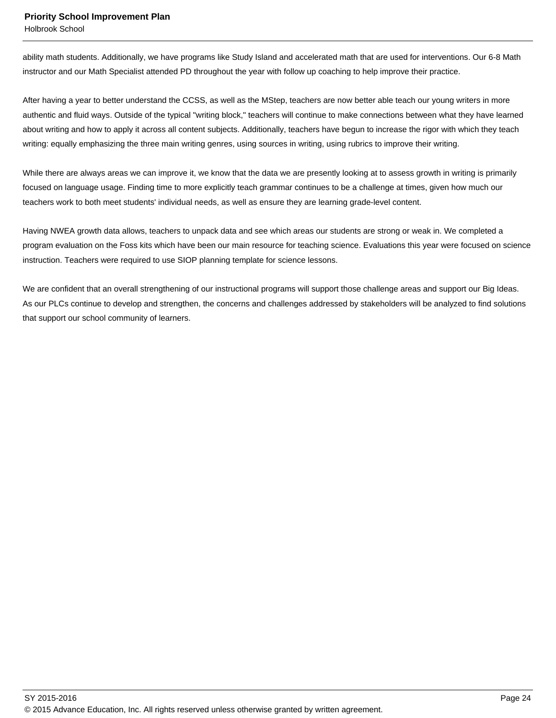Holbrook School

ability math students. Additionally, we have programs like Study Island and accelerated math that are used for interventions. Our 6-8 Math instructor and our Math Specialist attended PD throughout the year with follow up coaching to help improve their practice.

After having a year to better understand the CCSS, as well as the MStep, teachers are now better able teach our young writers in more authentic and fluid ways. Outside of the typical "writing block," teachers will continue to make connections between what they have learned about writing and how to apply it across all content subjects. Additionally, teachers have begun to increase the rigor with which they teach writing: equally emphasizing the three main writing genres, using sources in writing, using rubrics to improve their writing.

While there are always areas we can improve it, we know that the data we are presently looking at to assess growth in writing is primarily focused on language usage. Finding time to more explicitly teach grammar continues to be a challenge at times, given how much our teachers work to both meet students' individual needs, as well as ensure they are learning grade-level content.

Having NWEA growth data allows, teachers to unpack data and see which areas our students are strong or weak in. We completed a program evaluation on the Foss kits which have been our main resource for teaching science. Evaluations this year were focused on science instruction. Teachers were required to use SIOP planning template for science lessons.

We are confident that an overall strengthening of our instructional programs will support those challenge areas and support our Big Ideas. As our PLCs continue to develop and strengthen, the concerns and challenges addressed by stakeholders will be analyzed to find solutions that support our school community of learners.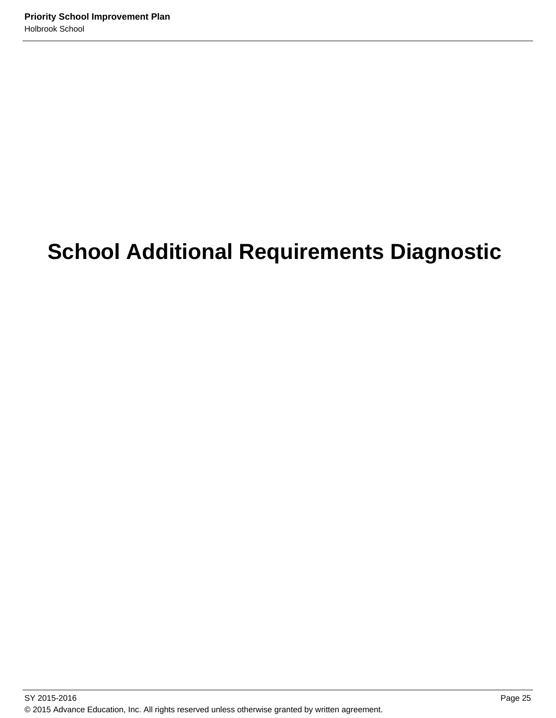# **School Additional Requirements Diagnostic**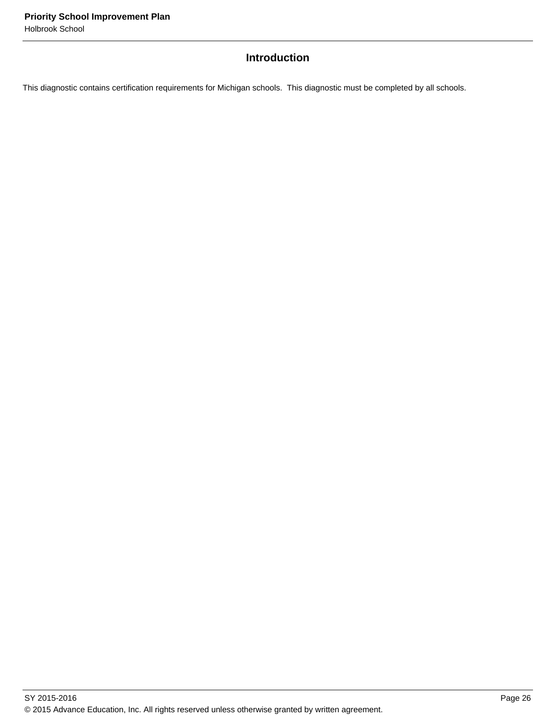# **Introduction**

This diagnostic contains certification requirements for Michigan schools. This diagnostic must be completed by all schools.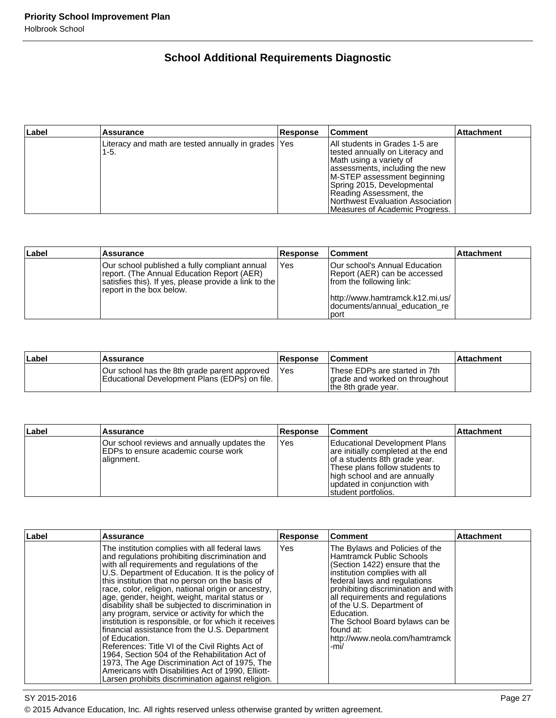# **School Additional Requirements Diagnostic**

| Label | <b>Assurance</b>                                              | <b>Response</b> | <b>Comment</b>                                                                                                                                                                                                                                                                                | <b>Attachment</b> |
|-------|---------------------------------------------------------------|-----------------|-----------------------------------------------------------------------------------------------------------------------------------------------------------------------------------------------------------------------------------------------------------------------------------------------|-------------------|
|       | Literacy and math are tested annually in grades   Yes<br>1-5. |                 | IAII students in Grades 1-5 are<br>tested annually on Literacy and<br>Math using a variety of<br>assessments, including the new<br>M-STEP assessment beginning<br>Spring 2015, Developmental<br>Reading Assessment, the<br>Northwest Evaluation Association<br>Measures of Academic Progress. |                   |

| Label | <b>Assurance</b>                                                                                                                                                                 | Response | <b>Comment</b>                                                                            | <b>Attachment</b> |
|-------|----------------------------------------------------------------------------------------------------------------------------------------------------------------------------------|----------|-------------------------------------------------------------------------------------------|-------------------|
|       | Our school published a fully compliant annual<br>report. (The Annual Education Report (AER)<br>satisfies this). If yes, please provide a link to the<br>report in the box below. | Yes      | Our school's Annual Education<br>Report (AER) can be accessed<br>from the following link: |                   |
|       |                                                                                                                                                                                  |          | http://www.hamtramck.k12.mi.us/<br>documents/annual education re<br>l port                |                   |

| Label | <b>Assurance</b>                                                                              | Response | <b>Comment</b>                                                                         | ∣Attachment |
|-------|-----------------------------------------------------------------------------------------------|----------|----------------------------------------------------------------------------------------|-------------|
|       | Our school has the 8th grade parent approved<br>Educational Development Plans (EDPs) on file. | 'Yes     | These EDPs are started in 7th<br>grade and worked on throughout<br>the 8th grade year. |             |

| ∣Label | Assurance                                                                                          | <b>Response</b> | <b>Comment</b>                                                                                                                                                                                                                | <b>Attachment</b> |
|--------|----------------------------------------------------------------------------------------------------|-----------------|-------------------------------------------------------------------------------------------------------------------------------------------------------------------------------------------------------------------------------|-------------------|
|        | Our school reviews and annually updates the<br>IEDPs to ensure academic course work<br> alignment. | Yes             | Educational Development Plans<br>are initially completed at the end<br>of a students 8th grade year.<br>These plans follow students to<br>high school and are annually<br>updated in conjunction with<br>Istudent portfolios. |                   |

| Label | <b>Assurance</b>                                                                                                                                                                                                                                                                                                                                                                                                                                                                                                                                                                                                                                                                                                                                                                                                                                                     | <b>Response</b> | <b>Comment</b>                                                                                                                                                                                                                                                                                                                                                                      | <b>Attachment</b> |
|-------|----------------------------------------------------------------------------------------------------------------------------------------------------------------------------------------------------------------------------------------------------------------------------------------------------------------------------------------------------------------------------------------------------------------------------------------------------------------------------------------------------------------------------------------------------------------------------------------------------------------------------------------------------------------------------------------------------------------------------------------------------------------------------------------------------------------------------------------------------------------------|-----------------|-------------------------------------------------------------------------------------------------------------------------------------------------------------------------------------------------------------------------------------------------------------------------------------------------------------------------------------------------------------------------------------|-------------------|
|       | The institution complies with all federal laws<br>and regulations prohibiting discrimination and<br>with all requirements and regulations of the<br>U.S. Department of Education. It is the policy of<br>this institution that no person on the basis of<br>race, color, religion, national origin or ancestry,<br>age, gender, height, weight, marital status or<br>disability shall be subjected to discrimination in<br>any program, service or activity for which the<br>institution is responsible, or for which it receives<br>financial assistance from the U.S. Department<br>lof Education.<br>References: Title VI of the Civil Rights Act of<br>1964, Section 504 of the Rehabilitation Act of<br>1973, The Age Discrimination Act of 1975, The<br>Americans with Disabilities Act of 1990, Elliott-<br>Larsen prohibits discrimination against religion. | <b>Yes</b>      | The Bylaws and Policies of the<br><b>Hamtramck Public Schools</b><br>(Section 1422) ensure that the<br>institution complies with all<br>federal laws and regulations<br>prohibiting discrimination and with<br>all requirements and requlations<br>of the U.S. Department of<br>Education.<br>The School Board bylaws can be<br>found at:<br>http://www.neola.com/hamtramck<br>-mi/ |                   |

SY 2015-2016 Page 27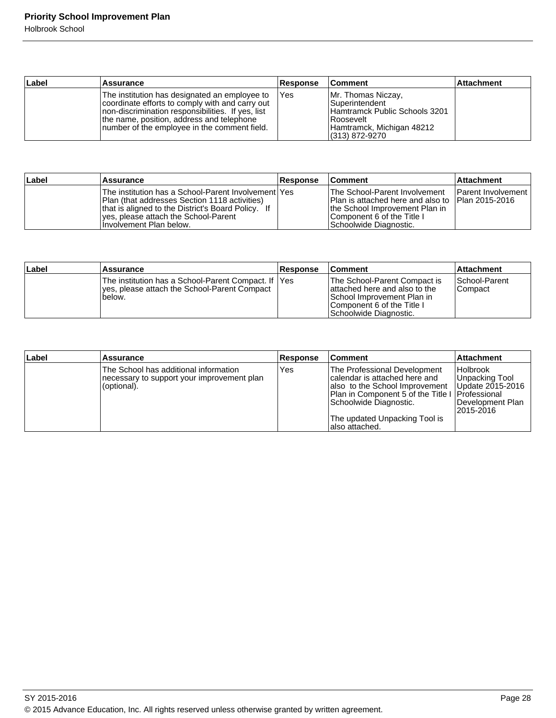Holbrook School

| ∣Label | <b>Assurance</b>                                                                                                                                                                                                                                     | <b>Response</b> | <b>Comment</b>                                                                                                                                 | <b>Attachment</b> |
|--------|------------------------------------------------------------------------------------------------------------------------------------------------------------------------------------------------------------------------------------------------------|-----------------|------------------------------------------------------------------------------------------------------------------------------------------------|-------------------|
|        | The institution has designated an employee to<br>coordinate efforts to comply with and carry out<br>Inon-discrimination responsibilities. If yes, list<br>the name, position, address and telephone<br>Inumber of the employee in the comment field. | <b>IYes</b>     | Mr. Thomas Niczay,<br><b>Superintendent</b><br>Hamtramck Public Schools 3201<br>I Roosevelt<br>Hamtramck, Michigan 48212<br>$(313) 872 - 9270$ |                   |

| ∣Label | <b>Assurance</b>                                                                                                                                                                                                                     | <b>Response</b> | <b>Comment</b>                                                                                                                                                                      | <b>Attachment</b>         |
|--------|--------------------------------------------------------------------------------------------------------------------------------------------------------------------------------------------------------------------------------------|-----------------|-------------------------------------------------------------------------------------------------------------------------------------------------------------------------------------|---------------------------|
|        | The institution has a School-Parent Involvement Yes<br><b>Plan (that addresses Section 1118 activities)</b><br>that is aligned to the District's Board Policy. If<br>yes, please attach the School-Parent<br>Involvement Plan below. |                 | <b>The School-Parent Involvement</b><br>Plan is attached here and also to Plan 2015-2016<br>Ithe School Improvement Plan in<br>Component 6 of the Title I<br>Schoolwide Diagnostic. | <b>Parent Involvement</b> |

| Label | <b>Assurance</b>                                                                                                | <b>Response</b> | ⊺Comment                                                                                                                                             | <b>Attachment</b>                |
|-------|-----------------------------------------------------------------------------------------------------------------|-----------------|------------------------------------------------------------------------------------------------------------------------------------------------------|----------------------------------|
|       | The institution has a School-Parent Compact. If IYes<br>lyes, please attach the School-Parent Compact<br>below. |                 | The School-Parent Compact is<br>lattached here and also to the<br>School Improvement Plan in<br>Component 6 of the Title I<br>Schoolwide Diagnostic. | <b>School-Parent</b><br> Compact |

| ∣Label | <b>Assurance</b>                                                                                   | <b>Response</b> | <b>Comment</b>                                                                                                                                                                                                                      | <b>Attachment</b>                                                                        |
|--------|----------------------------------------------------------------------------------------------------|-----------------|-------------------------------------------------------------------------------------------------------------------------------------------------------------------------------------------------------------------------------------|------------------------------------------------------------------------------------------|
|        | The School has additional information<br>necessary to support your improvement plan<br>(optional). | Yes             | The Professional Development<br>Icalendar is attached here and<br>also to the School Improvement<br>Plan in Component 5 of the Title I   Professional<br>Schoolwide Diagnostic.<br>The updated Unpacking Tool is<br>Ialso attached. | <b>Holbrook</b><br>Unpacking Tool<br>Update 2015-2016<br>lDevelopment Plan<br>12015-2016 |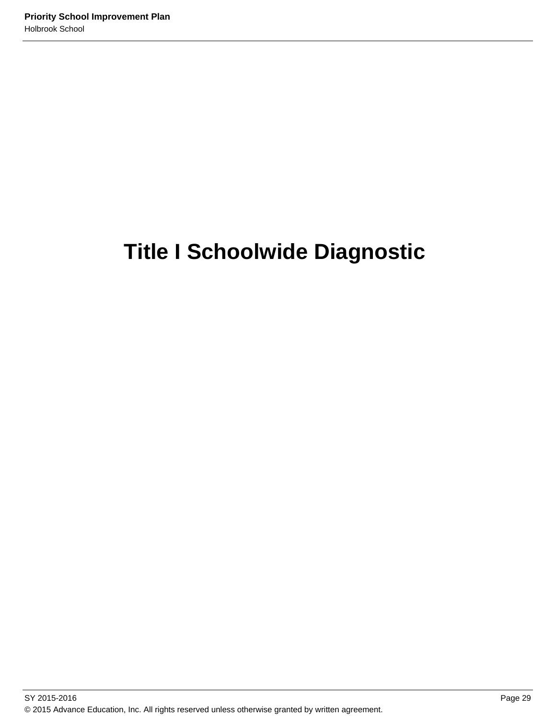# **Title I Schoolwide Diagnostic**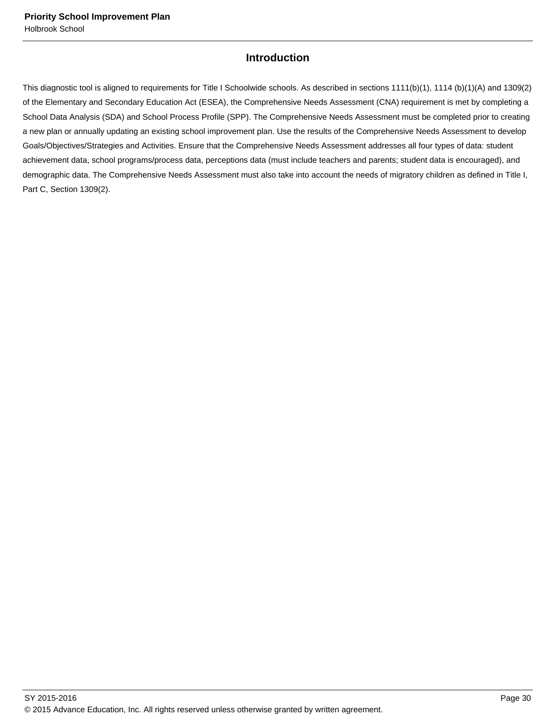# **Introduction**

This diagnostic tool is aligned to requirements for Title I Schoolwide schools. As described in sections 1111(b)(1), 1114 (b)(1)(A) and 1309(2) of the Elementary and Secondary Education Act (ESEA), the Comprehensive Needs Assessment (CNA) requirement is met by completing a School Data Analysis (SDA) and School Process Profile (SPP). The Comprehensive Needs Assessment must be completed prior to creating a new plan or annually updating an existing school improvement plan. Use the results of the Comprehensive Needs Assessment to develop Goals/Objectives/Strategies and Activities. Ensure that the Comprehensive Needs Assessment addresses all four types of data: student achievement data, school programs/process data, perceptions data (must include teachers and parents; student data is encouraged), and demographic data. The Comprehensive Needs Assessment must also take into account the needs of migratory children as defined in Title I, Part C, Section 1309(2).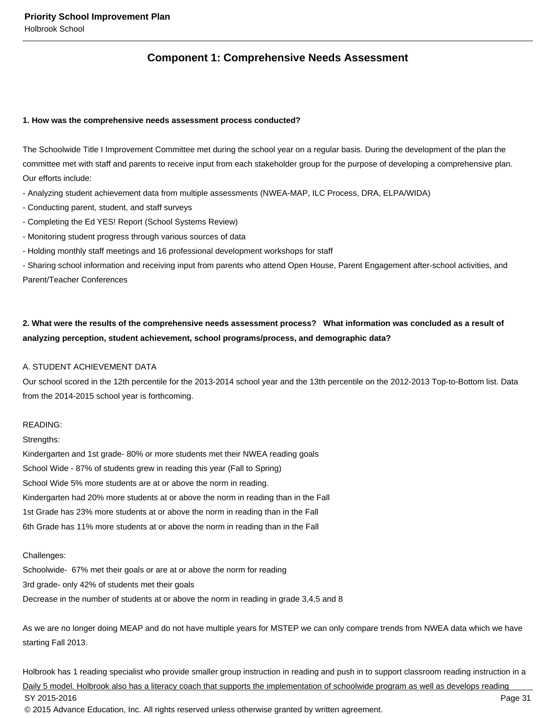# **Component 1: Comprehensive Needs Assessment**

#### **1. How was the comprehensive needs assessment process conducted?**

The Schoolwide Title I Improvement Committee met during the school year on a regular basis. During the development of the plan the committee met with staff and parents to receive input from each stakeholder group for the purpose of developing a comprehensive plan. Our efforts include:

- Analyzing student achievement data from multiple assessments (NWEA-MAP, ILC Process, DRA, ELPA/WIDA)
- Conducting parent, student, and staff surveys
- Completing the Ed YES! Report (School Systems Review)
- Monitoring student progress through various sources of data
- Holding monthly staff meetings and 16 professional development workshops for staff

- Sharing school information and receiving input from parents who attend Open House, Parent Engagement after-school activities, and Parent/Teacher Conferences

# **2. What were the results of the comprehensive needs assessment process? What information was concluded as a result of analyzing perception, student achievement, school programs/process, and demographic data?**

#### A. STUDENT ACHIEVEMENT DATA

Our school scored in the 12th percentile for the 2013-2014 school year and the 13th percentile on the 2012-2013 Top-to-Bottom list. Data from the 2014-2015 school year is forthcoming.

### READING:

Strengths: Kindergarten and 1st grade- 80% or more students met their NWEA reading goals School Wide - 87% of students grew in reading this year (Fall to Spring) School Wide 5% more students are at or above the norm in reading. Kindergarten had 20% more students at or above the norm in reading than in the Fall 1st Grade has 23% more students at or above the norm in reading than in the Fall 6th Grade has 11% more students at or above the norm in reading than in the Fall

#### Challenges:

Schoolwide- 67% met their goals or are at or above the norm for reading 3rd grade- only 42% of students met their goals Decrease in the number of students at or above the norm in reading in grade 3,4,5 and 8

As we are no longer doing MEAP and do not have multiple years for MSTEP we can only compare trends from NWEA data which we have starting Fall 2013.

Holbrook has 1 reading specialist who provide smaller group instruction in reading and push in to support classroom reading instruction in a Daily 5 model. Holbrook also has a literacy coach that supports the implementation of schoolwide program as well as develops reading SY 2015-2016 Page 31 © 2015 Advance Education, Inc. All rights reserved unless otherwise granted by written agreement.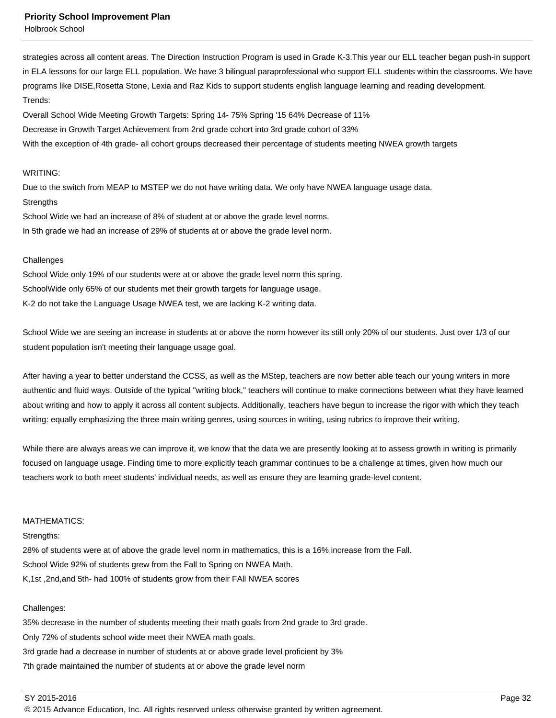Holbrook School

strategies across all content areas. The Direction Instruction Program is used in Grade K-3.This year our ELL teacher began push-in support in ELA lessons for our large ELL population. We have 3 bilingual paraprofessional who support ELL students within the classrooms. We have programs like DISE,Rosetta Stone, Lexia and Raz Kids to support students english language learning and reading development. Trends:

Overall School Wide Meeting Growth Targets: Spring 14- 75% Spring '15 64% Decrease of 11%

Decrease in Growth Target Achievement from 2nd grade cohort into 3rd grade cohort of 33%

With the exception of 4th grade- all cohort groups decreased their percentage of students meeting NWEA growth targets

#### WRITING:

Due to the switch from MEAP to MSTEP we do not have writing data. We only have NWEA language usage data. **Strengths** 

School Wide we had an increase of 8% of student at or above the grade level norms. In 5th grade we had an increase of 29% of students at or above the grade level norm.

#### **Challenges**

School Wide only 19% of our students were at or above the grade level norm this spring. SchoolWide only 65% of our students met their growth targets for language usage. K-2 do not take the Language Usage NWEA test, we are lacking K-2 writing data.

School Wide we are seeing an increase in students at or above the norm however its still only 20% of our students. Just over 1/3 of our student population isn't meeting their language usage goal.

After having a year to better understand the CCSS, as well as the MStep, teachers are now better able teach our young writers in more authentic and fluid ways. Outside of the typical "writing block," teachers will continue to make connections between what they have learned about writing and how to apply it across all content subjects. Additionally, teachers have begun to increase the rigor with which they teach writing: equally emphasizing the three main writing genres, using sources in writing, using rubrics to improve their writing.

While there are always areas we can improve it, we know that the data we are presently looking at to assess growth in writing is primarily focused on language usage. Finding time to more explicitly teach grammar continues to be a challenge at times, given how much our teachers work to both meet students' individual needs, as well as ensure they are learning grade-level content.

#### MATHEMATICS:

Strengths:

28% of students were at of above the grade level norm in mathematics, this is a 16% increase from the Fall. School Wide 92% of students grew from the Fall to Spring on NWEA Math. K,1st ,2nd,and 5th- had 100% of students grow from their FAll NWEA scores

## Challenges:

35% decrease in the number of students meeting their math goals from 2nd grade to 3rd grade. Only 72% of students school wide meet their NWEA math goals. 3rd grade had a decrease in number of students at or above grade level proficient by 3% 7th grade maintained the number of students at or above the grade level norm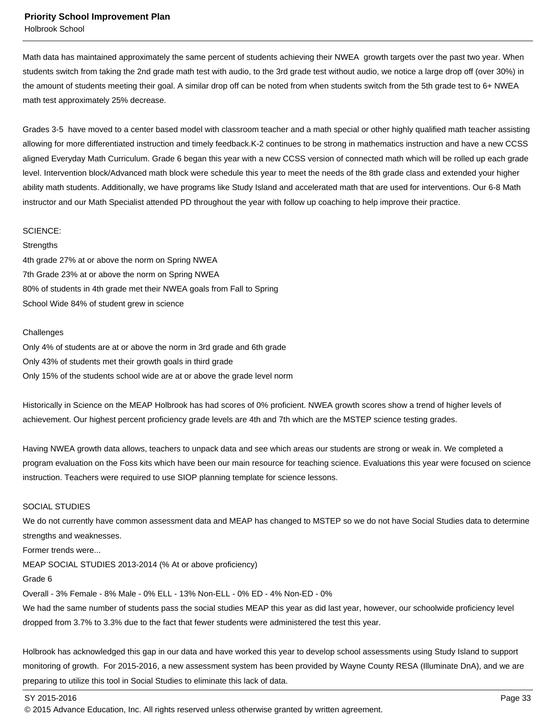Holbrook School

Math data has maintained approximately the same percent of students achieving their NWEA growth targets over the past two year. When students switch from taking the 2nd grade math test with audio, to the 3rd grade test without audio, we notice a large drop off (over 30%) in the amount of students meeting their goal. A similar drop off can be noted from when students switch from the 5th grade test to 6+ NWEA math test approximately 25% decrease.

Grades 3-5 have moved to a center based model with classroom teacher and a math special or other highly qualified math teacher assisting allowing for more differentiated instruction and timely feedback.K-2 continues to be strong in mathematics instruction and have a new CCSS aligned Everyday Math Curriculum. Grade 6 began this year with a new CCSS version of connected math which will be rolled up each grade level. Intervention block/Advanced math block were schedule this year to meet the needs of the 8th grade class and extended your higher ability math students. Additionally, we have programs like Study Island and accelerated math that are used for interventions. Our 6-8 Math instructor and our Math Specialist attended PD throughout the year with follow up coaching to help improve their practice.

#### SCIENCE:

#### **Strengths**

4th grade 27% at or above the norm on Spring NWEA 7th Grade 23% at or above the norm on Spring NWEA 80% of students in 4th grade met their NWEA goals from Fall to Spring School Wide 84% of student grew in science

#### **Challenges**

Only 4% of students are at or above the norm in 3rd grade and 6th grade Only 43% of students met their growth goals in third grade Only 15% of the students school wide are at or above the grade level norm

Historically in Science on the MEAP Holbrook has had scores of 0% proficient. NWEA growth scores show a trend of higher levels of achievement. Our highest percent proficiency grade levels are 4th and 7th which are the MSTEP science testing grades.

Having NWEA growth data allows, teachers to unpack data and see which areas our students are strong or weak in. We completed a program evaluation on the Foss kits which have been our main resource for teaching science. Evaluations this year were focused on science instruction. Teachers were required to use SIOP planning template for science lessons.

#### SOCIAL STUDIES

We do not currently have common assessment data and MEAP has changed to MSTEP so we do not have Social Studies data to determine strengths and weaknesses.

Former trends were...

MEAP SOCIAL STUDIES 2013-2014 (% At or above proficiency)

#### Grade 6

Overall - 3% Female - 8% Male - 0% ELL - 13% Non-ELL - 0% ED - 4% Non-ED - 0%

We had the same number of students pass the social studies MEAP this year as did last year, however, our schoolwide proficiency level dropped from 3.7% to 3.3% due to the fact that fewer students were administered the test this year.

Holbrook has acknowledged this gap in our data and have worked this year to develop school assessments using Study Island to support monitoring of growth. For 2015-2016, a new assessment system has been provided by Wayne County RESA (Illuminate DnA), and we are preparing to utilize this tool in Social Studies to eliminate this lack of data.

SY 2015-2016 Page 33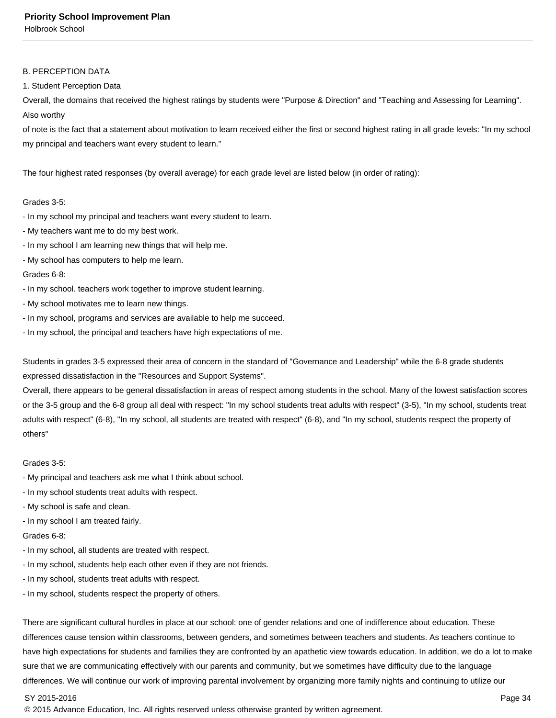Holbrook School

#### B. PERCEPTION DATA

1. Student Perception Data

Overall, the domains that received the highest ratings by students were "Purpose & Direction" and "Teaching and Assessing for Learning". Also worthy

of note is the fact that a statement about motivation to learn received either the first or second highest rating in all grade levels: "In my school my principal and teachers want every student to learn."

The four highest rated responses (by overall average) for each grade level are listed below (in order of rating):

## Grades 3-5:

- In my school my principal and teachers want every student to learn.
- My teachers want me to do my best work.
- In my school I am learning new things that will help me.
- My school has computers to help me learn.

#### Grades 6-8:

- In my school. teachers work together to improve student learning.
- My school motivates me to learn new things.
- In my school, programs and services are available to help me succeed.
- In my school, the principal and teachers have high expectations of me.

Students in grades 3-5 expressed their area of concern in the standard of "Governance and Leadership" while the 6-8 grade students expressed dissatisfaction in the "Resources and Support Systems".

Overall, there appears to be general dissatisfaction in areas of respect among students in the school. Many of the lowest satisfaction scores or the 3-5 group and the 6-8 group all deal with respect: "In my school students treat adults with respect" (3-5), "In my school, students treat adults with respect" (6-8), "In my school, all students are treated with respect" (6-8), and "In my school, students respect the property of others"

#### Grades 3-5:

- My principal and teachers ask me what I think about school.
- In my school students treat adults with respect.
- My school is safe and clean.
- In my school I am treated fairly.

Grades 6-8:

- In my school, all students are treated with respect.
- In my school, students help each other even if they are not friends.
- In my school, students treat adults with respect.
- In my school, students respect the property of others.

There are significant cultural hurdles in place at our school: one of gender relations and one of indifference about education. These differences cause tension within classrooms, between genders, and sometimes between teachers and students. As teachers continue to have high expectations for students and families they are confronted by an apathetic view towards education. In addition, we do a lot to make sure that we are communicating effectively with our parents and community, but we sometimes have difficulty due to the language differences. We will continue our work of improving parental involvement by organizing more family nights and continuing to utilize our

#### SY 2015-2016 Page 34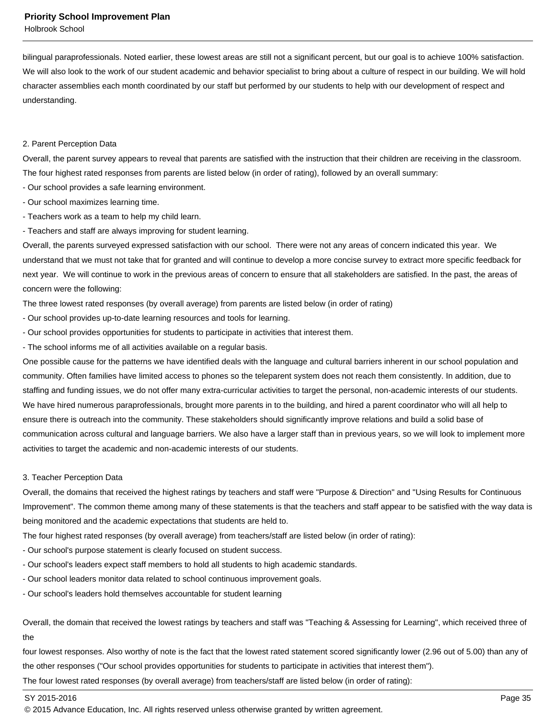Holbrook School

bilingual paraprofessionals. Noted earlier, these lowest areas are still not a significant percent, but our goal is to achieve 100% satisfaction. We will also look to the work of our student academic and behavior specialist to bring about a culture of respect in our building. We will hold character assemblies each month coordinated by our staff but performed by our students to help with our development of respect and understanding.

#### 2. Parent Perception Data

Overall, the parent survey appears to reveal that parents are satisfied with the instruction that their children are receiving in the classroom. The four highest rated responses from parents are listed below (in order of rating), followed by an overall summary:

- Our school provides a safe learning environment.
- Our school maximizes learning time.
- Teachers work as a team to help my child learn.
- Teachers and staff are always improving for student learning.

Overall, the parents surveyed expressed satisfaction with our school. There were not any areas of concern indicated this year. We understand that we must not take that for granted and will continue to develop a more concise survey to extract more specific feedback for next year. We will continue to work in the previous areas of concern to ensure that all stakeholders are satisfied. In the past, the areas of concern were the following:

The three lowest rated responses (by overall average) from parents are listed below (in order of rating)

- Our school provides up-to-date learning resources and tools for learning.
- Our school provides opportunities for students to participate in activities that interest them.
- The school informs me of all activities available on a regular basis.

One possible cause for the patterns we have identified deals with the language and cultural barriers inherent in our school population and community. Often families have limited access to phones so the teleparent system does not reach them consistently. In addition, due to staffing and funding issues, we do not offer many extra-curricular activities to target the personal, non-academic interests of our students. We have hired numerous paraprofessionals, brought more parents in to the building, and hired a parent coordinator who will all help to ensure there is outreach into the community. These stakeholders should significantly improve relations and build a solid base of communication across cultural and language barriers. We also have a larger staff than in previous years, so we will look to implement more activities to target the academic and non-academic interests of our students.

#### 3. Teacher Perception Data

Overall, the domains that received the highest ratings by teachers and staff were "Purpose & Direction" and "Using Results for Continuous Improvement". The common theme among many of these statements is that the teachers and staff appear to be satisfied with the way data is being monitored and the academic expectations that students are held to.

The four highest rated responses (by overall average) from teachers/staff are listed below (in order of rating):

- Our school's purpose statement is clearly focused on student success.
- Our school's leaders expect staff members to hold all students to high academic standards.
- Our school leaders monitor data related to school continuous improvement goals.
- Our school's leaders hold themselves accountable for student learning

Overall, the domain that received the lowest ratings by teachers and staff was "Teaching & Assessing for Learning", which received three of the

four lowest responses. Also worthy of note is the fact that the lowest rated statement scored significantly lower (2.96 out of 5.00) than any of the other responses ("Our school provides opportunities for students to participate in activities that interest them").

The four lowest rated responses (by overall average) from teachers/staff are listed below (in order of rating):

#### SY 2015-2016 Page 35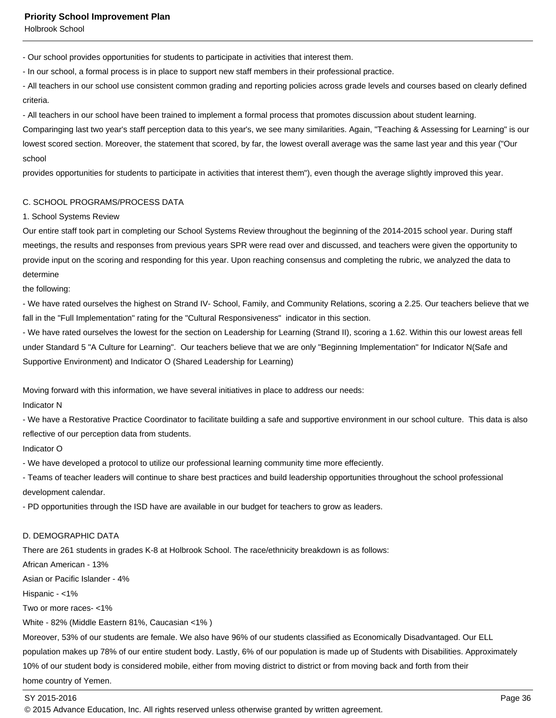Holbrook School

- Our school provides opportunities for students to participate in activities that interest them.

- In our school, a formal process is in place to support new staff members in their professional practice.

- All teachers in our school use consistent common grading and reporting policies across grade levels and courses based on clearly defined criteria.

- All teachers in our school have been trained to implement a formal process that promotes discussion about student learning.

Comparinging last two year's staff perception data to this year's, we see many similarities. Again, "Teaching & Assessing for Learning" is our lowest scored section. Moreover, the statement that scored, by far, the lowest overall average was the same last year and this year ("Our school

provides opportunities for students to participate in activities that interest them"), even though the average slightly improved this year.

#### C. SCHOOL PROGRAMS/PROCESS DATA

#### 1. School Systems Review

Our entire staff took part in completing our School Systems Review throughout the beginning of the 2014-2015 school year. During staff meetings, the results and responses from previous years SPR were read over and discussed, and teachers were given the opportunity to provide input on the scoring and responding for this year. Upon reaching consensus and completing the rubric, we analyzed the data to determine

the following:

- We have rated ourselves the highest on Strand IV- School, Family, and Community Relations, scoring a 2.25. Our teachers believe that we fall in the "Full Implementation" rating for the "Cultural Responsiveness" indicator in this section.

- We have rated ourselves the lowest for the section on Leadership for Learning (Strand II), scoring a 1.62. Within this our lowest areas fell under Standard 5 "A Culture for Learning". Our teachers believe that we are only "Beginning Implementation" for Indicator N(Safe and Supportive Environment) and Indicator O (Shared Leadership for Learning)

Moving forward with this information, we have several initiatives in place to address our needs:

#### Indicator N

- We have a Restorative Practice Coordinator to facilitate building a safe and supportive environment in our school culture. This data is also reflective of our perception data from students.

## Indicator O

- We have developed a protocol to utilize our professional learning community time more effeciently.

- Teams of teacher leaders will continue to share best practices and build leadership opportunities throughout the school professional development calendar.

- PD opportunities through the ISD have are available in our budget for teachers to grow as leaders.

#### D. DEMOGRAPHIC DATA

There are 261 students in grades K-8 at Holbrook School. The race/ethnicity breakdown is as follows:

African American - 13%

Asian or Pacific Islander - 4%

Hispanic - <1%

Two or more races- <1%

White - 82% (Middle Eastern 81%, Caucasian <1% )

Moreover, 53% of our students are female. We also have 96% of our students classified as Economically Disadvantaged. Our ELL population makes up 78% of our entire student body. Lastly, 6% of our population is made up of Students with Disabilities. Approximately 10% of our student body is considered mobile, either from moving district to district or from moving back and forth from their home country of Yemen.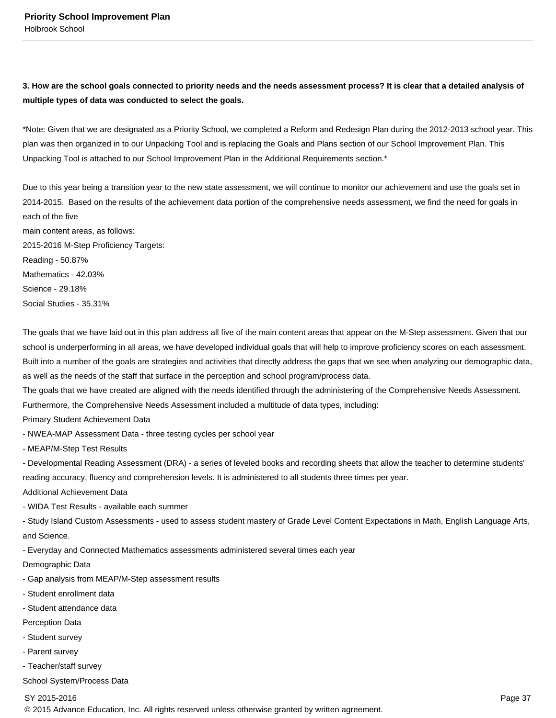## **3. How are the school goals connected to priority needs and the needs assessment process? It is clear that a detailed analysis of multiple types of data was conducted to select the goals.**

\*Note: Given that we are designated as a Priority School, we completed a Reform and Redesign Plan during the 2012-2013 school year. This plan was then organized in to our Unpacking Tool and is replacing the Goals and Plans section of our School Improvement Plan. This Unpacking Tool is attached to our School Improvement Plan in the Additional Requirements section.\*

Due to this year being a transition year to the new state assessment, we will continue to monitor our achievement and use the goals set in 2014-2015. Based on the results of the achievement data portion of the comprehensive needs assessment, we find the need for goals in each of the five main content areas, as follows: 2015-2016 M-Step Proficiency Targets: Reading - 50.87%

Mathematics - 42.03% Science - 29.18%

Social Studies - 35.31%

The goals that we have laid out in this plan address all five of the main content areas that appear on the M-Step assessment. Given that our school is underperforming in all areas, we have developed individual goals that will help to improve proficiency scores on each assessment. Built into a number of the goals are strategies and activities that directly address the gaps that we see when analyzing our demographic data, as well as the needs of the staff that surface in the perception and school program/process data.

The goals that we have created are aligned with the needs identified through the administering of the Comprehensive Needs Assessment. Furthermore, the Comprehensive Needs Assessment included a multitude of data types, including:

Primary Student Achievement Data

- NWEA-MAP Assessment Data - three testing cycles per school year

- MEAP/M-Step Test Results

- Developmental Reading Assessment (DRA) - a series of leveled books and recording sheets that allow the teacher to determine students' reading accuracy, fluency and comprehension levels. It is administered to all students three times per year.

Additional Achievement Data

- WIDA Test Results - available each summer

- Study Island Custom Assessments - used to assess student mastery of Grade Level Content Expectations in Math, English Language Arts, and Science.

- Everyday and Connected Mathematics assessments administered several times each year

Demographic Data

- Gap analysis from MEAP/M-Step assessment results
- Student enrollment data
- Student attendance data

Perception Data

- Student survey
- Parent survey
- Teacher/staff survey

School System/Process Data

## SY 2015-2016 Page 37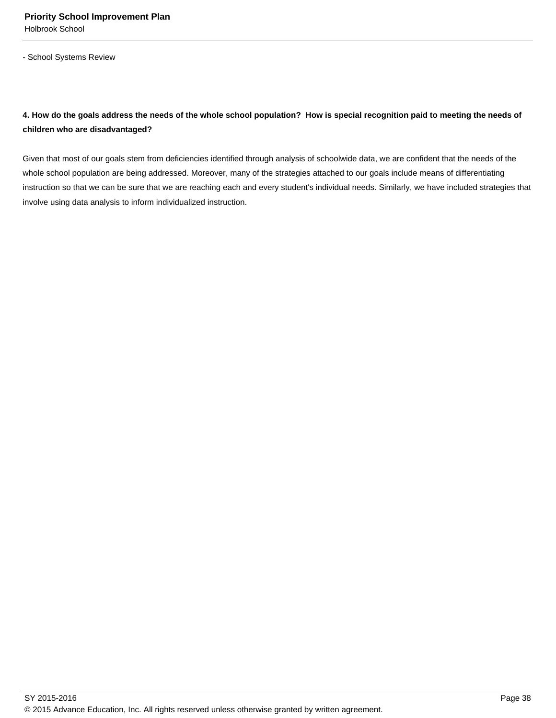- School Systems Review

# **4. How do the goals address the needs of the whole school population? How is special recognition paid to meeting the needs of children who are disadvantaged?**

Given that most of our goals stem from deficiencies identified through analysis of schoolwide data, we are confident that the needs of the whole school population are being addressed. Moreover, many of the strategies attached to our goals include means of differentiating instruction so that we can be sure that we are reaching each and every student's individual needs. Similarly, we have included strategies that involve using data analysis to inform individualized instruction.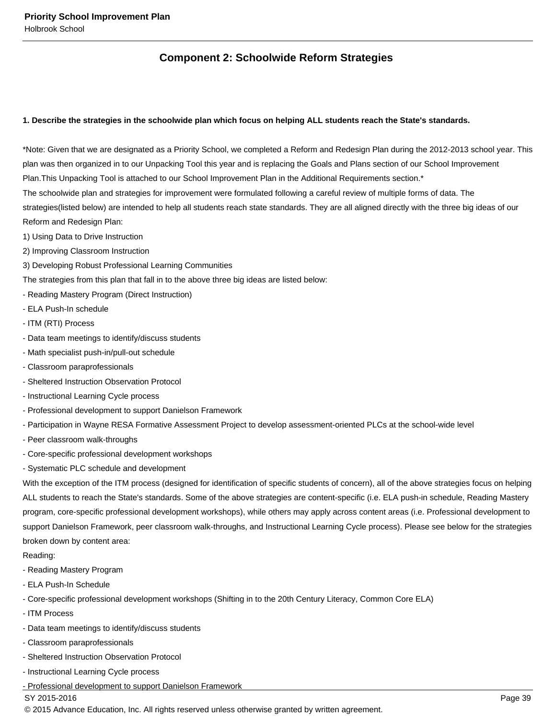# **Component 2: Schoolwide Reform Strategies**

## **1. Describe the strategies in the schoolwide plan which focus on helping ALL students reach the State's standards.**

\*Note: Given that we are designated as a Priority School, we completed a Reform and Redesign Plan during the 2012-2013 school year. This plan was then organized in to our Unpacking Tool this year and is replacing the Goals and Plans section of our School Improvement Plan.This Unpacking Tool is attached to our School Improvement Plan in the Additional Requirements section.\*

The schoolwide plan and strategies for improvement were formulated following a careful review of multiple forms of data. The

strategies(listed below) are intended to help all students reach state standards. They are all aligned directly with the three big ideas of our Reform and Redesign Plan:

- 1) Using Data to Drive Instruction
- 2) Improving Classroom Instruction
- 3) Developing Robust Professional Learning Communities

The strategies from this plan that fall in to the above three big ideas are listed below:

- Reading Mastery Program (Direct Instruction)
- ELA Push-In schedule
- ITM (RTI) Process
- Data team meetings to identify/discuss students
- Math specialist push-in/pull-out schedule
- Classroom paraprofessionals
- Sheltered Instruction Observation Protocol
- Instructional Learning Cycle process
- Professional development to support Danielson Framework
- Participation in Wayne RESA Formative Assessment Project to develop assessment-oriented PLCs at the school-wide level
- Peer classroom walk-throughs
- Core-specific professional development workshops
- Systematic PLC schedule and development

With the exception of the ITM process (designed for identification of specific students of concern), all of the above strategies focus on helping ALL students to reach the State's standards. Some of the above strategies are content-specific (i.e. ELA push-in schedule, Reading Mastery program, core-specific professional development workshops), while others may apply across content areas (i.e. Professional development to support Danielson Framework, peer classroom walk-throughs, and Instructional Learning Cycle process). Please see below for the strategies broken down by content area:

Reading:

- Reading Mastery Program
- ELA Push-In Schedule
- Core-specific professional development workshops (Shifting in to the 20th Century Literacy, Common Core ELA)
- ITM Process
- Data team meetings to identify/discuss students
- Classroom paraprofessionals
- Sheltered Instruction Observation Protocol
- Instructional Learning Cycle process
- Professional development to support Danielson Framework

## SY 2015-2016 Page 39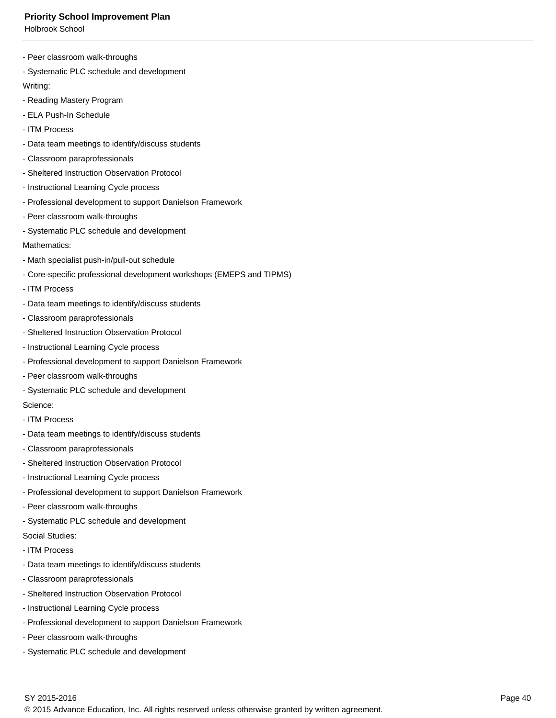Holbrook School

- Peer classroom walk-throughs
- Systematic PLC schedule and development

Writing:

- Reading Mastery Program
- ELA Push-In Schedule
- ITM Process
- Data team meetings to identify/discuss students
- Classroom paraprofessionals
- Sheltered Instruction Observation Protocol
- Instructional Learning Cycle process
- Professional development to support Danielson Framework
- Peer classroom walk-throughs
- Systematic PLC schedule and development

### Mathematics:

- Math specialist push-in/pull-out schedule
- Core-specific professional development workshops (EMEPS and TIPMS)
- ITM Process
- Data team meetings to identify/discuss students
- Classroom paraprofessionals
- Sheltered Instruction Observation Protocol
- Instructional Learning Cycle process
- Professional development to support Danielson Framework
- Peer classroom walk-throughs
- Systematic PLC schedule and development

Science:

- ITM Process
- Data team meetings to identify/discuss students
- Classroom paraprofessionals
- Sheltered Instruction Observation Protocol
- Instructional Learning Cycle process
- Professional development to support Danielson Framework
- Peer classroom walk-throughs
- Systematic PLC schedule and development
- Social Studies:
- ITM Process
- Data team meetings to identify/discuss students
- Classroom paraprofessionals
- Sheltered Instruction Observation Protocol
- Instructional Learning Cycle process
- Professional development to support Danielson Framework
- Peer classroom walk-throughs
- Systematic PLC schedule and development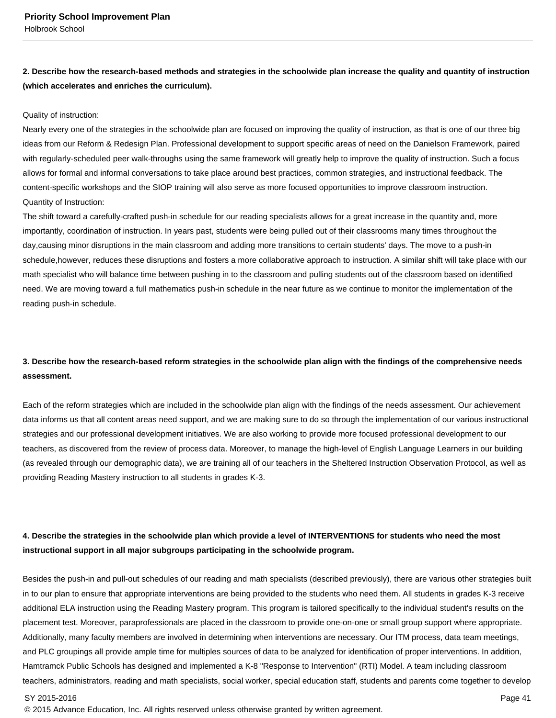# **2. Describe how the research-based methods and strategies in the schoolwide plan increase the quality and quantity of instruction (which accelerates and enriches the curriculum).**

#### Quality of instruction:

Nearly every one of the strategies in the schoolwide plan are focused on improving the quality of instruction, as that is one of our three big ideas from our Reform & Redesign Plan. Professional development to support specific areas of need on the Danielson Framework, paired with regularly-scheduled peer walk-throughs using the same framework will greatly help to improve the quality of instruction. Such a focus allows for formal and informal conversations to take place around best practices, common strategies, and instructional feedback. The content-specific workshops and the SIOP training will also serve as more focused opportunities to improve classroom instruction. Quantity of Instruction:

The shift toward a carefully-crafted push-in schedule for our reading specialists allows for a great increase in the quantity and, more importantly, coordination of instruction. In years past, students were being pulled out of their classrooms many times throughout the day,causing minor disruptions in the main classroom and adding more transitions to certain students' days. The move to a push-in schedule,however, reduces these disruptions and fosters a more collaborative approach to instruction. A similar shift will take place with our math specialist who will balance time between pushing in to the classroom and pulling students out of the classroom based on identified need. We are moving toward a full mathematics push-in schedule in the near future as we continue to monitor the implementation of the reading push-in schedule.

# **3. Describe how the research-based reform strategies in the schoolwide plan align with the findings of the comprehensive needs assessment.**

Each of the reform strategies which are included in the schoolwide plan align with the findings of the needs assessment. Our achievement data informs us that all content areas need support, and we are making sure to do so through the implementation of our various instructional strategies and our professional development initiatives. We are also working to provide more focused professional development to our teachers, as discovered from the review of process data. Moreover, to manage the high-level of English Language Learners in our building (as revealed through our demographic data), we are training all of our teachers in the Sheltered Instruction Observation Protocol, as well as providing Reading Mastery instruction to all students in grades K-3.

# **4. Describe the strategies in the schoolwide plan which provide a level of INTERVENTIONS for students who need the most instructional support in all major subgroups participating in the schoolwide program.**

Besides the push-in and pull-out schedules of our reading and math specialists (described previously), there are various other strategies built in to our plan to ensure that appropriate interventions are being provided to the students who need them. All students in grades K-3 receive additional ELA instruction using the Reading Mastery program. This program is tailored specifically to the individual student's results on the placement test. Moreover, paraprofessionals are placed in the classroom to provide one-on-one or small group support where appropriate. Additionally, many faculty members are involved in determining when interventions are necessary. Our ITM process, data team meetings, and PLC groupings all provide ample time for multiples sources of data to be analyzed for identification of proper interventions. In addition, Hamtramck Public Schools has designed and implemented a K-8 "Response to Intervention" (RTI) Model. A team including classroom teachers, administrators, reading and math specialists, social worker, special education staff, students and parents come together to develop

#### SY 2015-2016 Page 41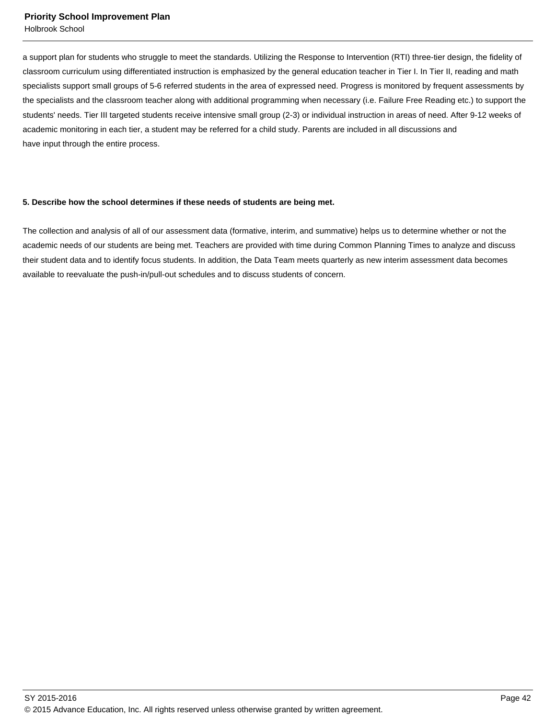Holbrook School

a support plan for students who struggle to meet the standards. Utilizing the Response to Intervention (RTI) three-tier design, the fidelity of classroom curriculum using differentiated instruction is emphasized by the general education teacher in Tier I. In Tier II, reading and math specialists support small groups of 5-6 referred students in the area of expressed need. Progress is monitored by frequent assessments by the specialists and the classroom teacher along with additional programming when necessary (i.e. Failure Free Reading etc.) to support the students' needs. Tier III targeted students receive intensive small group (2-3) or individual instruction in areas of need. After 9-12 weeks of academic monitoring in each tier, a student may be referred for a child study. Parents are included in all discussions and have input through the entire process.

#### **5. Describe how the school determines if these needs of students are being met.**

The collection and analysis of all of our assessment data (formative, interim, and summative) helps us to determine whether or not the academic needs of our students are being met. Teachers are provided with time during Common Planning Times to analyze and discuss their student data and to identify focus students. In addition, the Data Team meets quarterly as new interim assessment data becomes available to reevaluate the push-in/pull-out schedules and to discuss students of concern.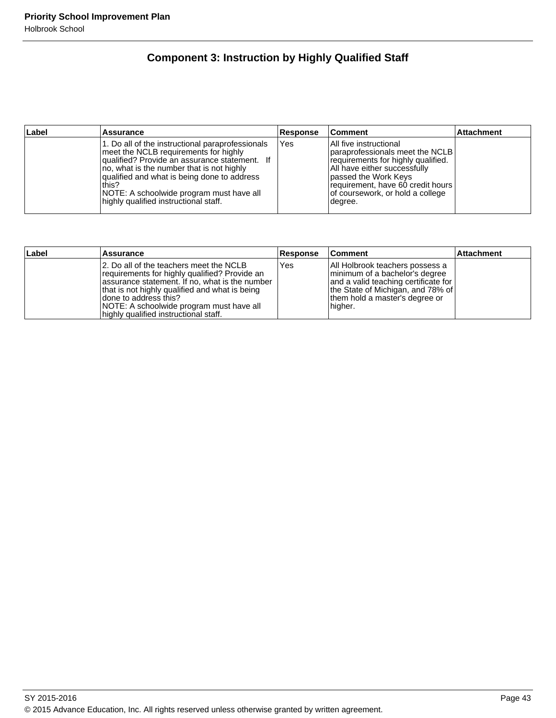# **Component 3: Instruction by Highly Qualified Staff**

| ∣Label | Assurance                                                                                                                                                                                                                                                                                                                             | Response | ∣Comment                                                                                                                                                                                                                                        | <b>Attachment</b> |
|--------|---------------------------------------------------------------------------------------------------------------------------------------------------------------------------------------------------------------------------------------------------------------------------------------------------------------------------------------|----------|-------------------------------------------------------------------------------------------------------------------------------------------------------------------------------------------------------------------------------------------------|-------------------|
|        | 1. Do all of the instructional paraprofessionals<br>meet the NCLB requirements for highly<br>qualified? Provide an assurance statement. If<br>Ino, what is the number that is not highly<br>qualified and what is being done to address<br>this?<br>NOTE: A schoolwide program must have all<br>highly qualified instructional staff. | Yes      | All five instructional<br>Iparaprofessionals meet the NCLB I<br>requirements for highly qualified.<br>All have either successfully<br>Ipassed the Work Keys<br>requirement, have 60 credit hours<br>of coursework, or hold a college<br>degree. |                   |

| Label | <b>Assurance</b>                                                                                                                                                                                                                                                                                             | <b>Response</b> | ∣Comment                                                                                                                                                                                        | <b>Attachment</b> |
|-------|--------------------------------------------------------------------------------------------------------------------------------------------------------------------------------------------------------------------------------------------------------------------------------------------------------------|-----------------|-------------------------------------------------------------------------------------------------------------------------------------------------------------------------------------------------|-------------------|
|       | 12. Do all of the teachers meet the NCLB<br>requirements for highly qualified? Provide an<br>assurance statement. If no, what is the number<br>that is not highly qualified and what is being<br>Idone to address this?<br>NOTE: A schoolwide program must have all<br>highly qualified instructional staff. | Yes             | All Holbrook teachers possess a<br>minimum of a bachelor's degree<br>  and a valid teaching certificate for  <br>the State of Michigan, and 78% of<br>them hold a master's degree or<br>higher. |                   |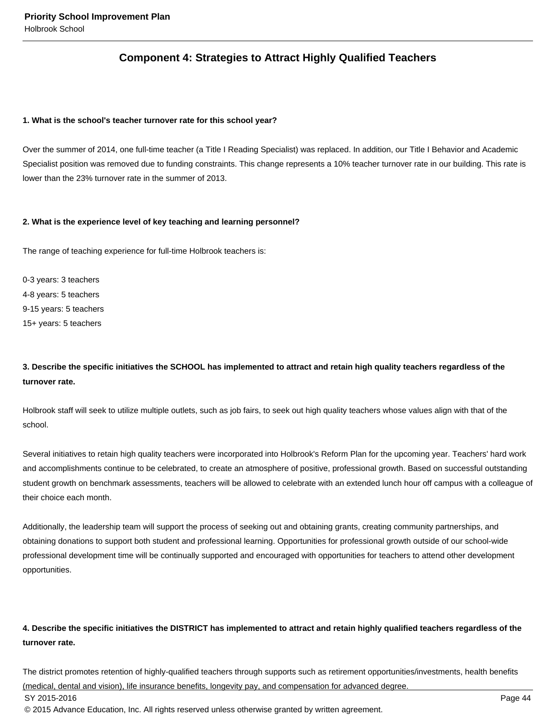# **Component 4: Strategies to Attract Highly Qualified Teachers**

#### **1. What is the school's teacher turnover rate for this school year?**

Over the summer of 2014, one full-time teacher (a Title I Reading Specialist) was replaced. In addition, our Title I Behavior and Academic Specialist position was removed due to funding constraints. This change represents a 10% teacher turnover rate in our building. This rate is lower than the 23% turnover rate in the summer of 2013.

#### **2. What is the experience level of key teaching and learning personnel?**

The range of teaching experience for full-time Holbrook teachers is:

0-3 years: 3 teachers 4-8 years: 5 teachers 9-15 years: 5 teachers 15+ years: 5 teachers

## **3. Describe the specific initiatives the SCHOOL has implemented to attract and retain high quality teachers regardless of the turnover rate.**

Holbrook staff will seek to utilize multiple outlets, such as job fairs, to seek out high quality teachers whose values align with that of the school.

Several initiatives to retain high quality teachers were incorporated into Holbrook's Reform Plan for the upcoming year. Teachers' hard work and accomplishments continue to be celebrated, to create an atmosphere of positive, professional growth. Based on successful outstanding student growth on benchmark assessments, teachers will be allowed to celebrate with an extended lunch hour off campus with a colleague of their choice each month.

Additionally, the leadership team will support the process of seeking out and obtaining grants, creating community partnerships, and obtaining donations to support both student and professional learning. Opportunities for professional growth outside of our school-wide professional development time will be continually supported and encouraged with opportunities for teachers to attend other development opportunities.

# **4. Describe the specific initiatives the DISTRICT has implemented to attract and retain highly qualified teachers regardless of the turnover rate.**

The district promotes retention of highly-qualified teachers through supports such as retirement opportunities/investments, health benefits (medical, dental and vision), life insurance benefits, longevity pay, and compensation for advanced degree. SY 2015-2016 Page 44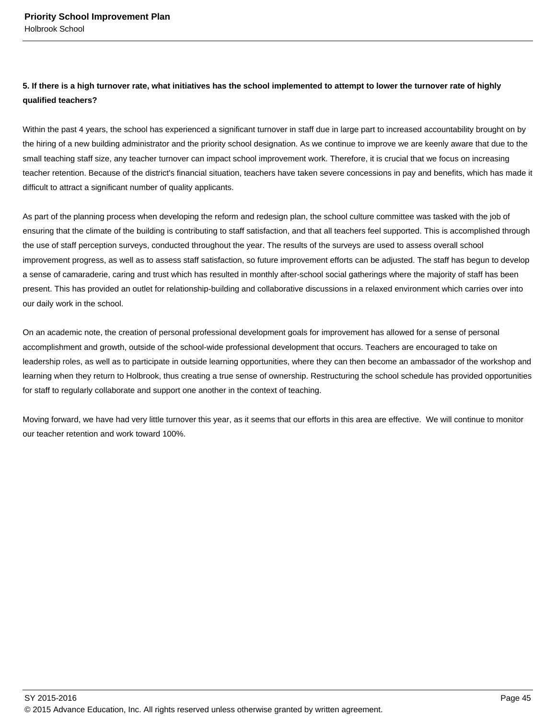## **5. If there is a high turnover rate, what initiatives has the school implemented to attempt to lower the turnover rate of highly qualified teachers?**

Within the past 4 years, the school has experienced a significant turnover in staff due in large part to increased accountability brought on by the hiring of a new building administrator and the priority school designation. As we continue to improve we are keenly aware that due to the small teaching staff size, any teacher turnover can impact school improvement work. Therefore, it is crucial that we focus on increasing teacher retention. Because of the district's financial situation, teachers have taken severe concessions in pay and benefits, which has made it difficult to attract a significant number of quality applicants.

As part of the planning process when developing the reform and redesign plan, the school culture committee was tasked with the job of ensuring that the climate of the building is contributing to staff satisfaction, and that all teachers feel supported. This is accomplished through the use of staff perception surveys, conducted throughout the year. The results of the surveys are used to assess overall school improvement progress, as well as to assess staff satisfaction, so future improvement efforts can be adjusted. The staff has begun to develop a sense of camaraderie, caring and trust which has resulted in monthly after-school social gatherings where the majority of staff has been present. This has provided an outlet for relationship-building and collaborative discussions in a relaxed environment which carries over into our daily work in the school.

On an academic note, the creation of personal professional development goals for improvement has allowed for a sense of personal accomplishment and growth, outside of the school-wide professional development that occurs. Teachers are encouraged to take on leadership roles, as well as to participate in outside learning opportunities, where they can then become an ambassador of the workshop and learning when they return to Holbrook, thus creating a true sense of ownership. Restructuring the school schedule has provided opportunities for staff to regularly collaborate and support one another in the context of teaching.

Moving forward, we have had very little turnover this year, as it seems that our efforts in this area are effective. We will continue to monitor our teacher retention and work toward 100%.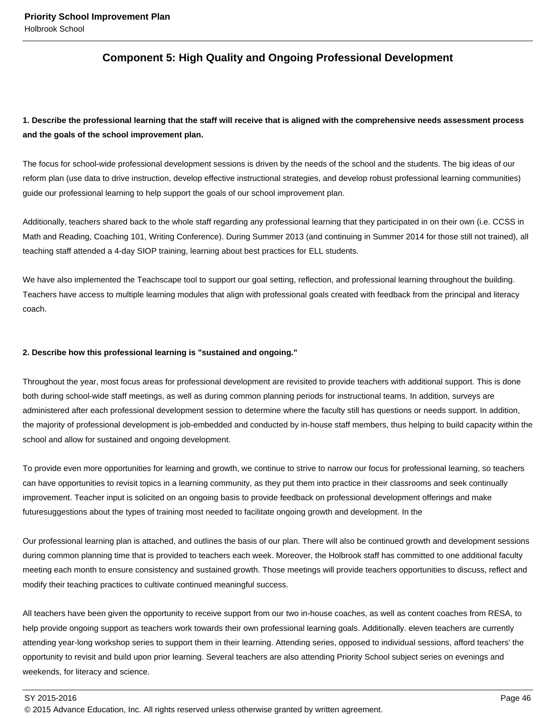# **Component 5: High Quality and Ongoing Professional Development**

# **1. Describe the professional learning that the staff will receive that is aligned with the comprehensive needs assessment process and the goals of the school improvement plan.**

The focus for school-wide professional development sessions is driven by the needs of the school and the students. The big ideas of our reform plan (use data to drive instruction, develop effective instructional strategies, and develop robust professional learning communities) guide our professional learning to help support the goals of our school improvement plan.

Additionally, teachers shared back to the whole staff regarding any professional learning that they participated in on their own (i.e. CCSS in Math and Reading, Coaching 101, Writing Conference). During Summer 2013 (and continuing in Summer 2014 for those still not trained), all teaching staff attended a 4-day SIOP training, learning about best practices for ELL students.

We have also implemented the Teachscape tool to support our goal setting, reflection, and professional learning throughout the building. Teachers have access to multiple learning modules that align with professional goals created with feedback from the principal and literacy coach.

#### **2. Describe how this professional learning is "sustained and ongoing."**

Throughout the year, most focus areas for professional development are revisited to provide teachers with additional support. This is done both during school-wide staff meetings, as well as during common planning periods for instructional teams. In addition, surveys are administered after each professional development session to determine where the faculty still has questions or needs support. In addition, the majority of professional development is job-embedded and conducted by in-house staff members, thus helping to build capacity within the school and allow for sustained and ongoing development.

To provide even more opportunities for learning and growth, we continue to strive to narrow our focus for professional learning, so teachers can have opportunities to revisit topics in a learning community, as they put them into practice in their classrooms and seek continually improvement. Teacher input is solicited on an ongoing basis to provide feedback on professional development offerings and make futuresuggestions about the types of training most needed to facilitate ongoing growth and development. In the

Our professional learning plan is attached, and outlines the basis of our plan. There will also be continued growth and development sessions during common planning time that is provided to teachers each week. Moreover, the Holbrook staff has committed to one additional faculty meeting each month to ensure consistency and sustained growth. Those meetings will provide teachers opportunities to discuss, reflect and modify their teaching practices to cultivate continued meaningful success.

All teachers have been given the opportunity to receive support from our two in-house coaches, as well as content coaches from RESA, to help provide ongoing support as teachers work towards their own professional learning goals. Additionally. eleven teachers are currently attending year-long workshop series to support them in their learning. Attending series, opposed to individual sessions, afford teachers' the opportunity to revisit and build upon prior learning. Several teachers are also attending Priority School subject series on evenings and weekends, for literacy and science.

SY 2015-2016 Page 46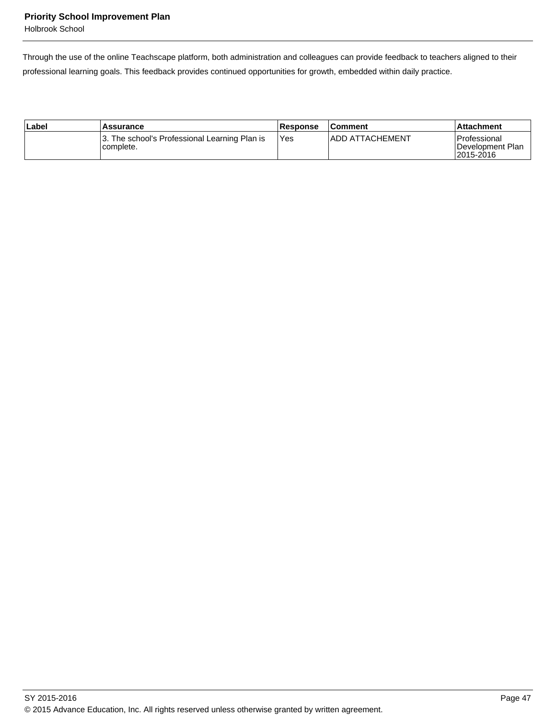Holbrook School

Through the use of the online Teachscape platform, both administration and colleagues can provide feedback to teachers aligned to their professional learning goals. This feedback provides continued opportunities for growth, embedded within daily practice.

| ∣Label | Assurance                                                  | <b>Response</b> | <b>Comment</b>          | ⊺Attachment                                       |
|--------|------------------------------------------------------------|-----------------|-------------------------|---------------------------------------------------|
|        | 3. The school's Professional Learning Plan is<br>complete. | Yes             | <b>IADD ATTACHEMENT</b> | l Professional<br>IDevelopment Plan<br>12015-2016 |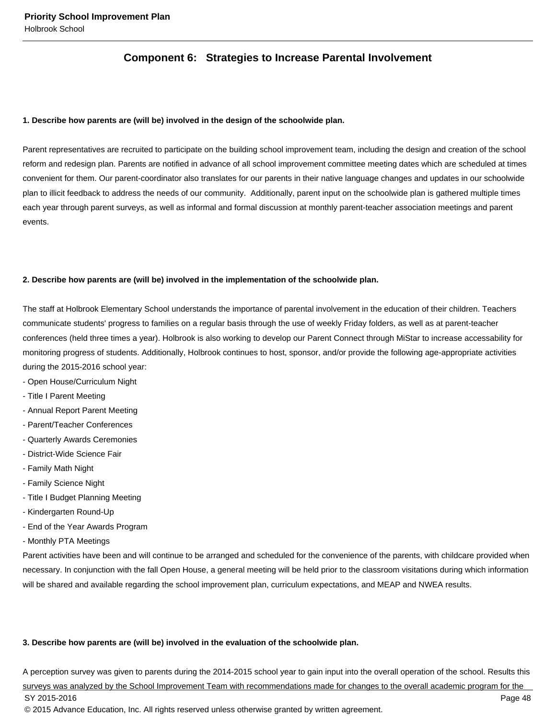# **Component 6: Strategies to Increase Parental Involvement**

#### **1. Describe how parents are (will be) involved in the design of the schoolwide plan.**

Parent representatives are recruited to participate on the building school improvement team, including the design and creation of the school reform and redesign plan. Parents are notified in advance of all school improvement committee meeting dates which are scheduled at times convenient for them. Our parent-coordinator also translates for our parents in their native language changes and updates in our schoolwide plan to illicit feedback to address the needs of our community. Additionally, parent input on the schoolwide plan is gathered multiple times each year through parent surveys, as well as informal and formal discussion at monthly parent-teacher association meetings and parent events.

#### **2. Describe how parents are (will be) involved in the implementation of the schoolwide plan.**

The staff at Holbrook Elementary School understands the importance of parental involvement in the education of their children. Teachers communicate students' progress to families on a regular basis through the use of weekly Friday folders, as well as at parent-teacher conferences (held three times a year). Holbrook is also working to develop our Parent Connect through MiStar to increase accessability for monitoring progress of students. Additionally, Holbrook continues to host, sponsor, and/or provide the following age-appropriate activities during the 2015-2016 school year:

- Open House/Curriculum Night
- Title I Parent Meeting
- Annual Report Parent Meeting
- Parent/Teacher Conferences
- Quarterly Awards Ceremonies
- District-Wide Science Fair
- Family Math Night
- Family Science Night
- Title I Budget Planning Meeting
- Kindergarten Round-Up
- End of the Year Awards Program
- Monthly PTA Meetings

Parent activities have been and will continue to be arranged and scheduled for the convenience of the parents, with childcare provided when necessary. In conjunction with the fall Open House, a general meeting will be held prior to the classroom visitations during which information will be shared and available regarding the school improvement plan, curriculum expectations, and MEAP and NWEA results.

#### **3. Describe how parents are (will be) involved in the evaluation of the schoolwide plan.**

A perception survey was given to parents during the 2014-2015 school year to gain input into the overall operation of the school. Results this surveys was analyzed by the School Improvement Team with recommendations made for changes to the overall academic program for the SY 2015-2016 Page 48 © 2015 Advance Education, Inc. All rights reserved unless otherwise granted by written agreement.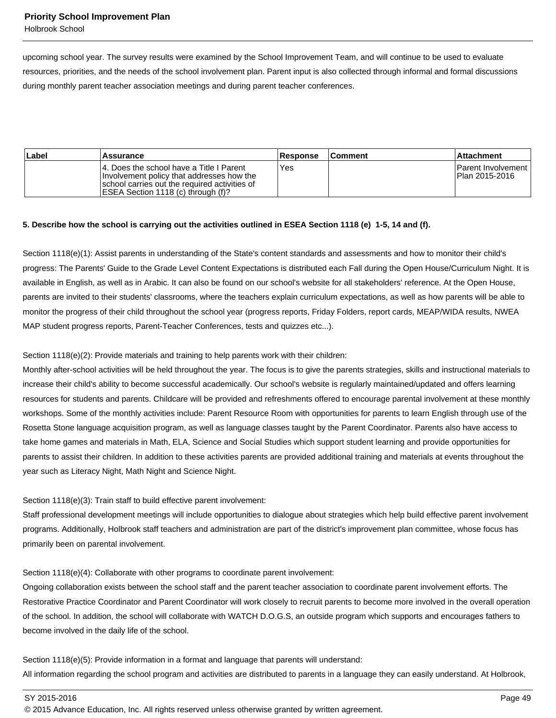Holbrook School

upcoming school year. The survey results were examined by the School Improvement Team, and will continue to be used to evaluate resources, priorities, and the needs of the school involvement plan. Parent input is also collected through informal and formal discussions during monthly parent teacher association meetings and during parent teacher conferences.

| Label | Assurance                                                                                                                                                                      | <b>Response</b> | <b>Comment</b> | ⊺Attachment                                 |
|-------|--------------------------------------------------------------------------------------------------------------------------------------------------------------------------------|-----------------|----------------|---------------------------------------------|
|       | 14. Does the school have a Title I Parent<br>Involvement policy that addresses how the<br>school carries out the required activities of<br>IESEA Section 1118 (c) through (f)? | Yes             |                | <b>Parent Involvement</b><br>Plan 2015-2016 |

#### **5. Describe how the school is carrying out the activities outlined in ESEA Section 1118 (e) 1-5, 14 and (f).**

Section 1118(e)(1): Assist parents in understanding of the State's content standards and assessments and how to monitor their child's progress: The Parents' Guide to the Grade Level Content Expectations is distributed each Fall during the Open House/Curriculum Night. It is available in English, as well as in Arabic. It can also be found on our school's website for all stakeholders' reference. At the Open House, parents are invited to their students' classrooms, where the teachers explain curriculum expectations, as well as how parents will be able to monitor the progress of their child throughout the school year (progress reports, Friday Folders, report cards, MEAP/WIDA results, NWEA MAP student progress reports, Parent-Teacher Conferences, tests and quizzes etc...).

Section 1118(e)(2): Provide materials and training to help parents work with their children:

Monthly after-school activities will be held throughout the year. The focus is to give the parents strategies, skills and instructional materials to increase their child's ability to become successful academically. Our school's website is regularly maintained/updated and offers learning resources for students and parents. Childcare will be provided and refreshments offered to encourage parental involvement at these monthly workshops. Some of the monthly activities include: Parent Resource Room with opportunities for parents to learn English through use of the Rosetta Stone language acquisition program, as well as language classes taught by the Parent Coordinator. Parents also have access to take home games and materials in Math, ELA, Science and Social Studies which support student learning and provide opportunities for parents to assist their children. In addition to these activities parents are provided additional training and materials at events throughout the year such as Literacy Night, Math Night and Science Night.

#### Section 1118(e)(3): Train staff to build effective parent involvement:

Staff professional development meetings will include opportunities to dialogue about strategies which help build effective parent involvement programs. Additionally, Holbrook staff teachers and administration are part of the district's improvement plan committee, whose focus has primarily been on parental involvement.

Section 1118(e)(4): Collaborate with other programs to coordinate parent involvement:

Ongoing collaboration exists between the school staff and the parent teacher association to coordinate parent involvement efforts. The Restorative Practice Coordinator and Parent Coordinator will work closely to recruit parents to become more involved in the overall operation of the school. In addition, the school will collaborate with WATCH D.O.G.S, an outside program which supports and encourages fathers to become involved in the daily life of the school.

Section 1118(e)(5): Provide information in a format and language that parents will understand: All information regarding the school program and activities are distributed to parents in a language they can easily understand. At Holbrook,

SY 2015-2016 Page 49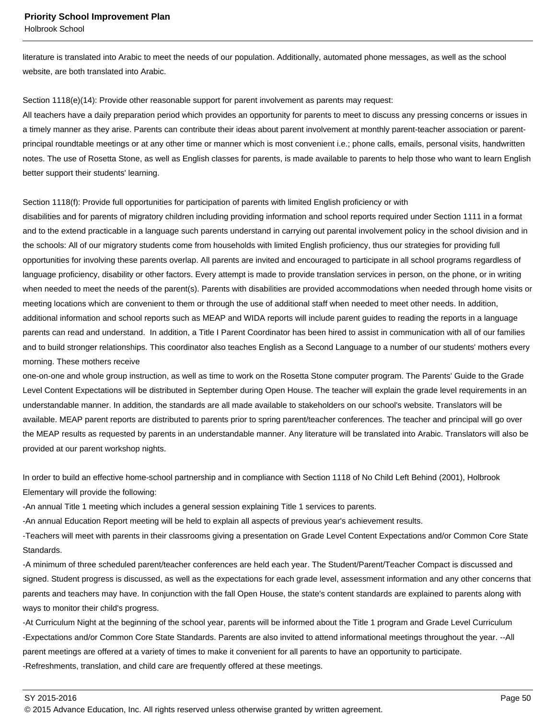Holbrook School

literature is translated into Arabic to meet the needs of our population. Additionally, automated phone messages, as well as the school website, are both translated into Arabic.

Section 1118(e)(14): Provide other reasonable support for parent involvement as parents may request:

All teachers have a daily preparation period which provides an opportunity for parents to meet to discuss any pressing concerns or issues in a timely manner as they arise. Parents can contribute their ideas about parent involvement at monthly parent-teacher association or parentprincipal roundtable meetings or at any other time or manner which is most convenient i.e.; phone calls, emails, personal visits, handwritten notes. The use of Rosetta Stone, as well as English classes for parents, is made available to parents to help those who want to learn English better support their students' learning.

#### Section 1118(f): Provide full opportunities for participation of parents with limited English proficiency or with

disabilities and for parents of migratory children including providing information and school reports required under Section 1111 in a format and to the extend practicable in a language such parents understand in carrying out parental involvement policy in the school division and in the schools: All of our migratory students come from households with limited English proficiency, thus our strategies for providing full opportunities for involving these parents overlap. All parents are invited and encouraged to participate in all school programs regardless of language proficiency, disability or other factors. Every attempt is made to provide translation services in person, on the phone, or in writing when needed to meet the needs of the parent(s). Parents with disabilities are provided accommodations when needed through home visits or meeting locations which are convenient to them or through the use of additional staff when needed to meet other needs. In addition, additional information and school reports such as MEAP and WIDA reports will include parent guides to reading the reports in a language parents can read and understand. In addition, a Title I Parent Coordinator has been hired to assist in communication with all of our families and to build stronger relationships. This coordinator also teaches English as a Second Language to a number of our students' mothers every morning. These mothers receive

one-on-one and whole group instruction, as well as time to work on the Rosetta Stone computer program. The Parents' Guide to the Grade Level Content Expectations will be distributed in September during Open House. The teacher will explain the grade level requirements in an understandable manner. In addition, the standards are all made available to stakeholders on our school's website. Translators will be available. MEAP parent reports are distributed to parents prior to spring parent/teacher conferences. The teacher and principal will go over the MEAP results as requested by parents in an understandable manner. Any literature will be translated into Arabic. Translators will also be provided at our parent workshop nights.

In order to build an effective home-school partnership and in compliance with Section 1118 of No Child Left Behind (2001), Holbrook Elementary will provide the following:

-An annual Title 1 meeting which includes a general session explaining Title 1 services to parents.

-An annual Education Report meeting will be held to explain all aspects of previous year's achievement results.

-Teachers will meet with parents in their classrooms giving a presentation on Grade Level Content Expectations and/or Common Core State Standards.

-A minimum of three scheduled parent/teacher conferences are held each year. The Student/Parent/Teacher Compact is discussed and signed. Student progress is discussed, as well as the expectations for each grade level, assessment information and any other concerns that parents and teachers may have. In conjunction with the fall Open House, the state's content standards are explained to parents along with ways to monitor their child's progress.

-At Curriculum Night at the beginning of the school year, parents will be informed about the Title 1 program and Grade Level Curriculum -Expectations and/or Common Core State Standards. Parents are also invited to attend informational meetings throughout the year. --All parent meetings are offered at a variety of times to make it convenient for all parents to have an opportunity to participate. -Refreshments, translation, and child care are frequently offered at these meetings.

SY 2015-2016 Page 50

<sup>© 2015</sup> Advance Education, Inc. All rights reserved unless otherwise granted by written agreement.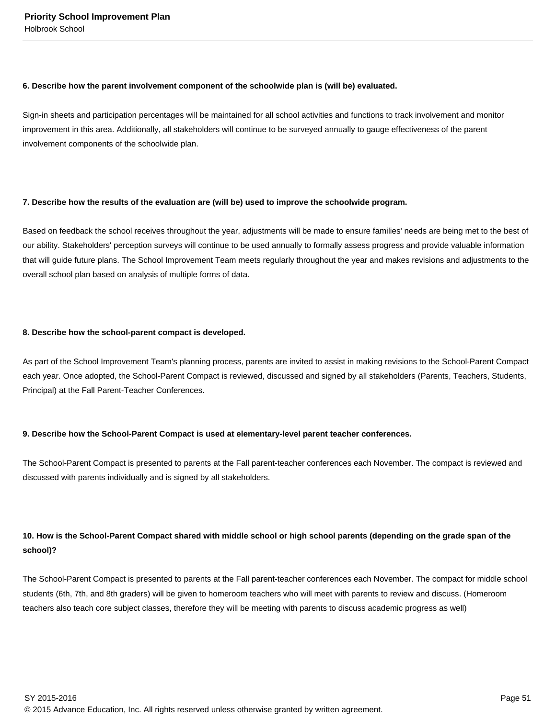#### **6. Describe how the parent involvement component of the schoolwide plan is (will be) evaluated.**

Sign-in sheets and participation percentages will be maintained for all school activities and functions to track involvement and monitor improvement in this area. Additionally, all stakeholders will continue to be surveyed annually to gauge effectiveness of the parent involvement components of the schoolwide plan.

## **7. Describe how the results of the evaluation are (will be) used to improve the schoolwide program.**

Based on feedback the school receives throughout the year, adjustments will be made to ensure families' needs are being met to the best of our ability. Stakeholders' perception surveys will continue to be used annually to formally assess progress and provide valuable information that will guide future plans. The School Improvement Team meets regularly throughout the year and makes revisions and adjustments to the overall school plan based on analysis of multiple forms of data.

## **8. Describe how the school-parent compact is developed.**

As part of the School Improvement Team's planning process, parents are invited to assist in making revisions to the School-Parent Compact each year. Once adopted, the School-Parent Compact is reviewed, discussed and signed by all stakeholders (Parents, Teachers, Students, Principal) at the Fall Parent-Teacher Conferences.

## **9. Describe how the School-Parent Compact is used at elementary-level parent teacher conferences.**

The School-Parent Compact is presented to parents at the Fall parent-teacher conferences each November. The compact is reviewed and discussed with parents individually and is signed by all stakeholders.

# **10. How is the School-Parent Compact shared with middle school or high school parents (depending on the grade span of the school)?**

The School-Parent Compact is presented to parents at the Fall parent-teacher conferences each November. The compact for middle school students (6th, 7th, and 8th graders) will be given to homeroom teachers who will meet with parents to review and discuss. (Homeroom teachers also teach core subject classes, therefore they will be meeting with parents to discuss academic progress as well)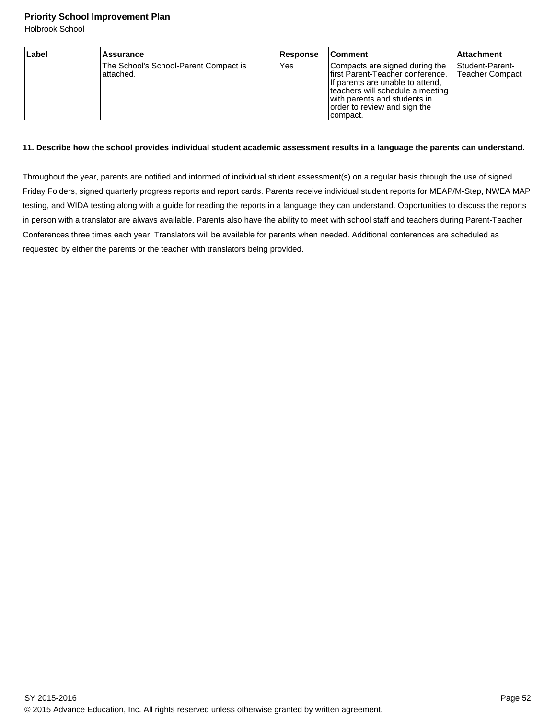Holbrook School

| Label | <b>Assurance</b>                                    | Response | ∣Comment                                                                                                                                                                                                                | <b>Attachment</b>                                |
|-------|-----------------------------------------------------|----------|-------------------------------------------------------------------------------------------------------------------------------------------------------------------------------------------------------------------------|--------------------------------------------------|
|       | The School's School-Parent Compact is<br>lattached. | Yes      | Compacts are signed during the<br>lfirst Parent-Teacher conference.<br>If parents are unable to attend,<br>teachers will schedule a meeting<br>with parents and students in<br>order to review and sign the<br>compact. | <b>Student-Parent-</b><br><b>Teacher Compact</b> |

## **11. Describe how the school provides individual student academic assessment results in a language the parents can understand.**

Throughout the year, parents are notified and informed of individual student assessment(s) on a regular basis through the use of signed Friday Folders, signed quarterly progress reports and report cards. Parents receive individual student reports for MEAP/M-Step, NWEA MAP testing, and WIDA testing along with a guide for reading the reports in a language they can understand. Opportunities to discuss the reports in person with a translator are always available. Parents also have the ability to meet with school staff and teachers during Parent-Teacher Conferences three times each year. Translators will be available for parents when needed. Additional conferences are scheduled as requested by either the parents or the teacher with translators being provided.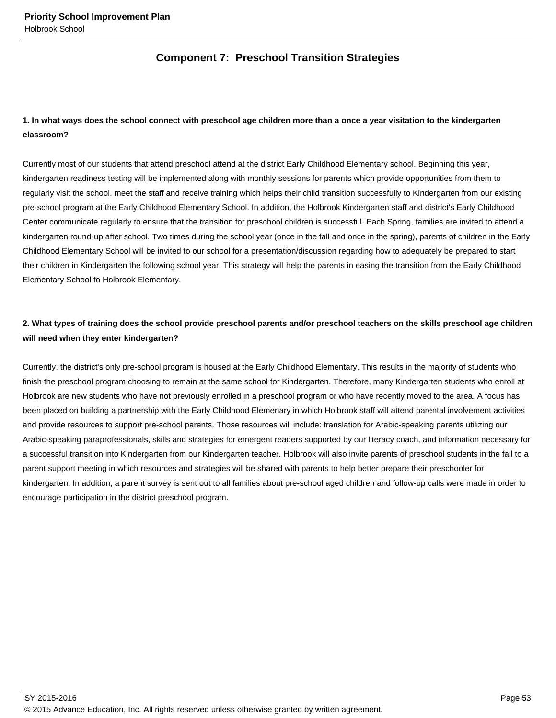# **Component 7: Preschool Transition Strategies**

# **1. In what ways does the school connect with preschool age children more than a once a year visitation to the kindergarten classroom?**

Currently most of our students that attend preschool attend at the district Early Childhood Elementary school. Beginning this year, kindergarten readiness testing will be implemented along with monthly sessions for parents which provide opportunities from them to regularly visit the school, meet the staff and receive training which helps their child transition successfully to Kindergarten from our existing pre-school program at the Early Childhood Elementary School. In addition, the Holbrook Kindergarten staff and district's Early Childhood Center communicate regularly to ensure that the transition for preschool children is successful. Each Spring, families are invited to attend a kindergarten round-up after school. Two times during the school year (once in the fall and once in the spring), parents of children in the Early Childhood Elementary School will be invited to our school for a presentation/discussion regarding how to adequately be prepared to start their children in Kindergarten the following school year. This strategy will help the parents in easing the transition from the Early Childhood Elementary School to Holbrook Elementary.

# **2. What types of training does the school provide preschool parents and/or preschool teachers on the skills preschool age children will need when they enter kindergarten?**

Currently, the district's only pre-school program is housed at the Early Childhood Elementary. This results in the majority of students who finish the preschool program choosing to remain at the same school for Kindergarten. Therefore, many Kindergarten students who enroll at Holbrook are new students who have not previously enrolled in a preschool program or who have recently moved to the area. A focus has been placed on building a partnership with the Early Childhood Elemenary in which Holbrook staff will attend parental involvement activities and provide resources to support pre-school parents. Those resources will include: translation for Arabic-speaking parents utilizing our Arabic-speaking paraprofessionals, skills and strategies for emergent readers supported by our literacy coach, and information necessary for a successful transition into Kindergarten from our Kindergarten teacher. Holbrook will also invite parents of preschool students in the fall to a parent support meeting in which resources and strategies will be shared with parents to help better prepare their preschooler for kindergarten. In addition, a parent survey is sent out to all families about pre-school aged children and follow-up calls were made in order to encourage participation in the district preschool program.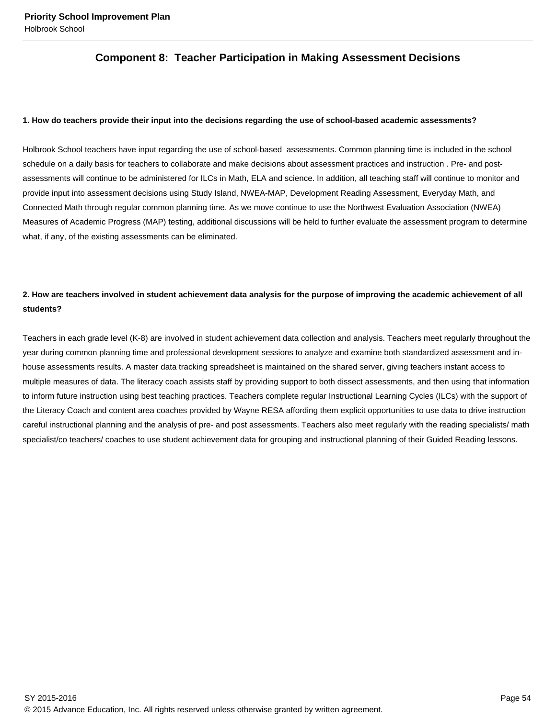# **Component 8: Teacher Participation in Making Assessment Decisions**

#### **1. How do teachers provide their input into the decisions regarding the use of school-based academic assessments?**

Holbrook School teachers have input regarding the use of school-based assessments. Common planning time is included in the school schedule on a daily basis for teachers to collaborate and make decisions about assessment practices and instruction . Pre- and postassessments will continue to be administered for ILCs in Math, ELA and science. In addition, all teaching staff will continue to monitor and provide input into assessment decisions using Study Island, NWEA-MAP, Development Reading Assessment, Everyday Math, and Connected Math through regular common planning time. As we move continue to use the Northwest Evaluation Association (NWEA) Measures of Academic Progress (MAP) testing, additional discussions will be held to further evaluate the assessment program to determine what, if any, of the existing assessments can be eliminated.

# **2. How are teachers involved in student achievement data analysis for the purpose of improving the academic achievement of all students?**

Teachers in each grade level (K-8) are involved in student achievement data collection and analysis. Teachers meet regularly throughout the year during common planning time and professional development sessions to analyze and examine both standardized assessment and inhouse assessments results. A master data tracking spreadsheet is maintained on the shared server, giving teachers instant access to multiple measures of data. The literacy coach assists staff by providing support to both dissect assessments, and then using that information to inform future instruction using best teaching practices. Teachers complete regular Instructional Learning Cycles (ILCs) with the support of the Literacy Coach and content area coaches provided by Wayne RESA affording them explicit opportunities to use data to drive instruction careful instructional planning and the analysis of pre- and post assessments. Teachers also meet regularly with the reading specialists/ math specialist/co teachers/ coaches to use student achievement data for grouping and instructional planning of their Guided Reading lessons.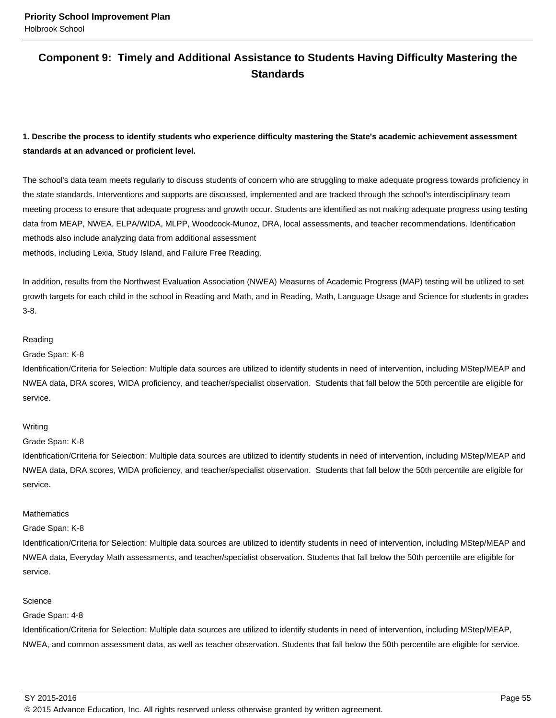# **Component 9: Timely and Additional Assistance to Students Having Difficulty Mastering the Standards**

# **1. Describe the process to identify students who experience difficulty mastering the State's academic achievement assessment standards at an advanced or proficient level.**

The school's data team meets regularly to discuss students of concern who are struggling to make adequate progress towards proficiency in the state standards. Interventions and supports are discussed, implemented and are tracked through the school's interdisciplinary team meeting process to ensure that adequate progress and growth occur. Students are identified as not making adequate progress using testing data from MEAP, NWEA, ELPA/WIDA, MLPP, Woodcock-Munoz, DRA, local assessments, and teacher recommendations. Identification methods also include analyzing data from additional assessment methods, including Lexia, Study Island, and Failure Free Reading.

In addition, results from the Northwest Evaluation Association (NWEA) Measures of Academic Progress (MAP) testing will be utilized to set growth targets for each child in the school in Reading and Math, and in Reading, Math, Language Usage and Science for students in grades 3-8.

#### Reading

## Grade Span: K-8

Identification/Criteria for Selection: Multiple data sources are utilized to identify students in need of intervention, including MStep/MEAP and NWEA data, DRA scores, WIDA proficiency, and teacher/specialist observation. Students that fall below the 50th percentile are eligible for service.

## Writing

## Grade Span: K-8

Identification/Criteria for Selection: Multiple data sources are utilized to identify students in need of intervention, including MStep/MEAP and NWEA data, DRA scores, WIDA proficiency, and teacher/specialist observation. Students that fall below the 50th percentile are eligible for service.

## **Mathematics**

## Grade Span: K-8

Identification/Criteria for Selection: Multiple data sources are utilized to identify students in need of intervention, including MStep/MEAP and NWEA data, Everyday Math assessments, and teacher/specialist observation. Students that fall below the 50th percentile are eligible for service.

#### **Science**

## Grade Span: 4-8

Identification/Criteria for Selection: Multiple data sources are utilized to identify students in need of intervention, including MStep/MEAP, NWEA, and common assessment data, as well as teacher observation. Students that fall below the 50th percentile are eligible for service.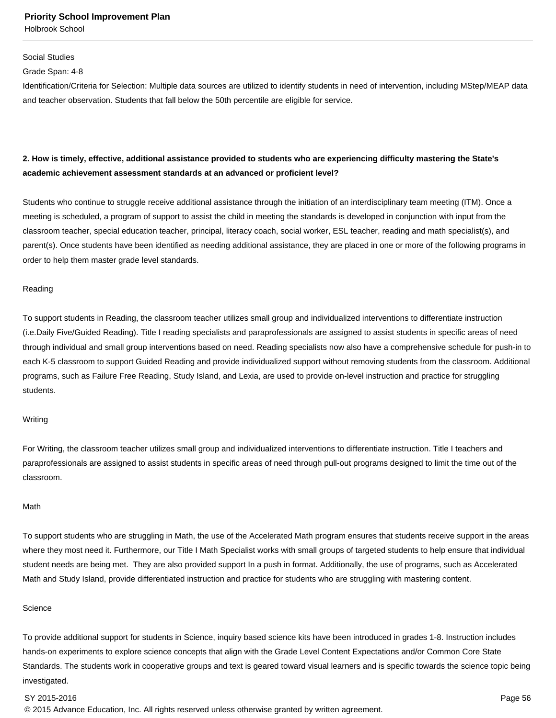Holbrook School

#### Social Studies

Grade Span: 4-8

Identification/Criteria for Selection: Multiple data sources are utilized to identify students in need of intervention, including MStep/MEAP data and teacher observation. Students that fall below the 50th percentile are eligible for service.

## **2. How is timely, effective, additional assistance provided to students who are experiencing difficulty mastering the State's academic achievement assessment standards at an advanced or proficient level?**

Students who continue to struggle receive additional assistance through the initiation of an interdisciplinary team meeting (ITM). Once a meeting is scheduled, a program of support to assist the child in meeting the standards is developed in conjunction with input from the classroom teacher, special education teacher, principal, literacy coach, social worker, ESL teacher, reading and math specialist(s), and parent(s). Once students have been identified as needing additional assistance, they are placed in one or more of the following programs in order to help them master grade level standards.

#### Reading

To support students in Reading, the classroom teacher utilizes small group and individualized interventions to differentiate instruction (i.e.Daily Five/Guided Reading). Title I reading specialists and paraprofessionals are assigned to assist students in specific areas of need through individual and small group interventions based on need. Reading specialists now also have a comprehensive schedule for push-in to each K-5 classroom to support Guided Reading and provide individualized support without removing students from the classroom. Additional programs, such as Failure Free Reading, Study Island, and Lexia, are used to provide on-level instruction and practice for struggling students.

#### Writing

For Writing, the classroom teacher utilizes small group and individualized interventions to differentiate instruction. Title I teachers and paraprofessionals are assigned to assist students in specific areas of need through pull-out programs designed to limit the time out of the classroom.

#### Math

To support students who are struggling in Math, the use of the Accelerated Math program ensures that students receive support in the areas where they most need it. Furthermore, our Title I Math Specialist works with small groups of targeted students to help ensure that individual student needs are being met. They are also provided support In a push in format. Additionally, the use of programs, such as Accelerated Math and Study Island, provide differentiated instruction and practice for students who are struggling with mastering content.

#### **Science**

To provide additional support for students in Science, inquiry based science kits have been introduced in grades 1-8. Instruction includes hands-on experiments to explore science concepts that align with the Grade Level Content Expectations and/or Common Core State Standards. The students work in cooperative groups and text is geared toward visual learners and is specific towards the science topic being investigated.

#### SY 2015-2016 Page 56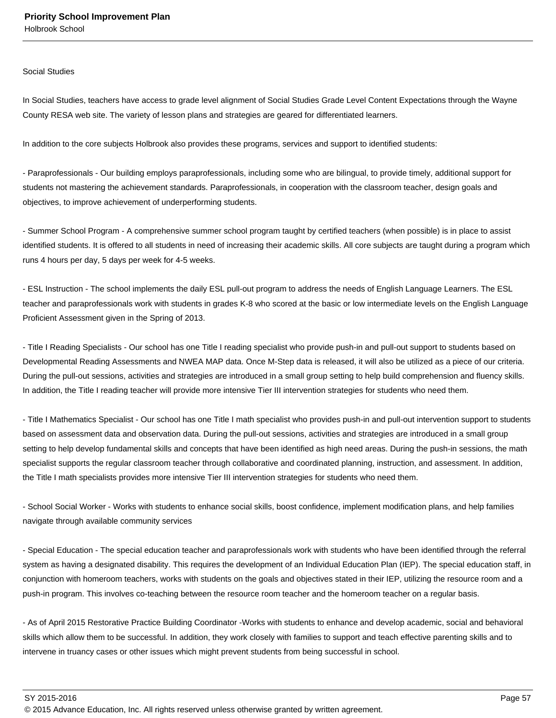Holbrook School

#### Social Studies

In Social Studies, teachers have access to grade level alignment of Social Studies Grade Level Content Expectations through the Wayne County RESA web site. The variety of lesson plans and strategies are geared for differentiated learners.

In addition to the core subjects Holbrook also provides these programs, services and support to identified students:

- Paraprofessionals - Our building employs paraprofessionals, including some who are bilingual, to provide timely, additional support for students not mastering the achievement standards. Paraprofessionals, in cooperation with the classroom teacher, design goals and objectives, to improve achievement of underperforming students.

- Summer School Program - A comprehensive summer school program taught by certified teachers (when possible) is in place to assist identified students. It is offered to all students in need of increasing their academic skills. All core subjects are taught during a program which runs 4 hours per day, 5 days per week for 4-5 weeks.

- ESL Instruction - The school implements the daily ESL pull-out program to address the needs of English Language Learners. The ESL teacher and paraprofessionals work with students in grades K-8 who scored at the basic or low intermediate levels on the English Language Proficient Assessment given in the Spring of 2013.

- Title I Reading Specialists - Our school has one Title I reading specialist who provide push-in and pull-out support to students based on Developmental Reading Assessments and NWEA MAP data. Once M-Step data is released, it will also be utilized as a piece of our criteria. During the pull-out sessions, activities and strategies are introduced in a small group setting to help build comprehension and fluency skills. In addition, the Title I reading teacher will provide more intensive Tier III intervention strategies for students who need them.

- Title I Mathematics Specialist - Our school has one Title I math specialist who provides push-in and pull-out intervention support to students based on assessment data and observation data. During the pull-out sessions, activities and strategies are introduced in a small group setting to help develop fundamental skills and concepts that have been identified as high need areas. During the push-in sessions, the math specialist supports the regular classroom teacher through collaborative and coordinated planning, instruction, and assessment. In addition, the Title I math specialists provides more intensive Tier III intervention strategies for students who need them.

- School Social Worker - Works with students to enhance social skills, boost confidence, implement modification plans, and help families navigate through available community services

- Special Education - The special education teacher and paraprofessionals work with students who have been identified through the referral system as having a designated disability. This requires the development of an Individual Education Plan (IEP). The special education staff, in conjunction with homeroom teachers, works with students on the goals and objectives stated in their IEP, utilizing the resource room and a push-in program. This involves co-teaching between the resource room teacher and the homeroom teacher on a regular basis.

- As of April 2015 Restorative Practice Building Coordinator -Works with students to enhance and develop academic, social and behavioral skills which allow them to be successful. In addition, they work closely with families to support and teach effective parenting skills and to intervene in truancy cases or other issues which might prevent students from being successful in school.

SY 2015-2016 Page 57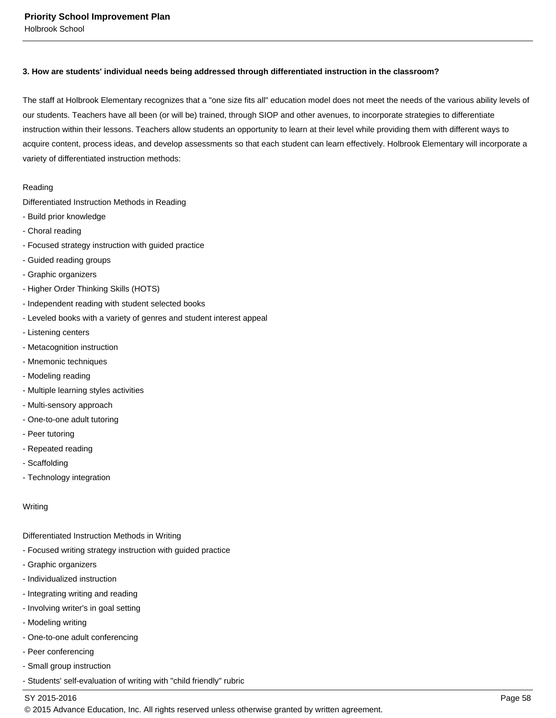### **3. How are students' individual needs being addressed through differentiated instruction in the classroom?**

The staff at Holbrook Elementary recognizes that a "one size fits all" education model does not meet the needs of the various ability levels of our students. Teachers have all been (or will be) trained, through SIOP and other avenues, to incorporate strategies to differentiate instruction within their lessons. Teachers allow students an opportunity to learn at their level while providing them with different ways to acquire content, process ideas, and develop assessments so that each student can learn effectively. Holbrook Elementary will incorporate a variety of differentiated instruction methods:

#### Reading

Differentiated Instruction Methods in Reading

- Build prior knowledge
- Choral reading
- Focused strategy instruction with guided practice
- Guided reading groups
- Graphic organizers
- Higher Order Thinking Skills (HOTS)
- Independent reading with student selected books
- Leveled books with a variety of genres and student interest appeal
- Listening centers
- Metacognition instruction
- Mnemonic techniques
- Modeling reading
- Multiple learning styles activities
- Multi-sensory approach
- One-to-one adult tutoring
- Peer tutoring
- Repeated reading
- Scaffolding
- Technology integration

**Writing** 

- Differentiated Instruction Methods in Writing
- Focused writing strategy instruction with guided practice
- Graphic organizers
- Individualized instruction
- Integrating writing and reading
- Involving writer's in goal setting
- Modeling writing
- One-to-one adult conferencing
- Peer conferencing
- Small group instruction
- Students' self-evaluation of writing with "child friendly" rubric

#### SY 2015-2016 Page 58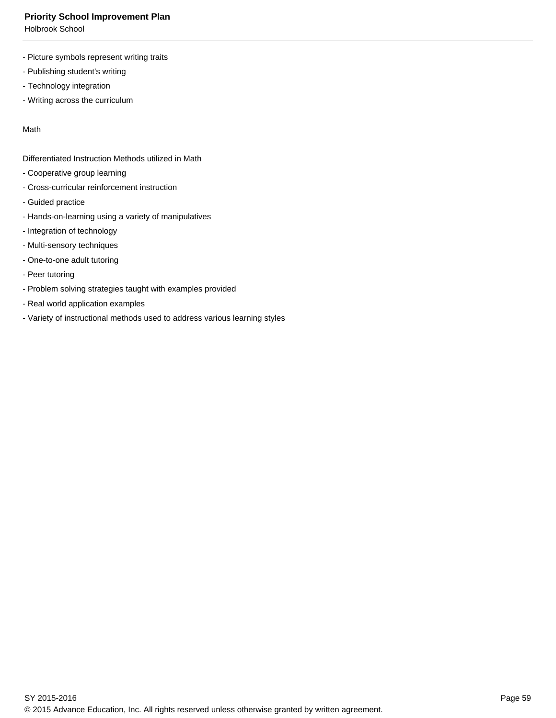Holbrook School

- Picture symbols represent writing traits
- Publishing student's writing
- Technology integration
- Writing across the curriculum

Math

Differentiated Instruction Methods utilized in Math

- Cooperative group learning
- Cross-curricular reinforcement instruction
- Guided practice
- Hands-on-learning using a variety of manipulatives
- Integration of technology
- Multi-sensory techniques
- One-to-one adult tutoring
- Peer tutoring
- Problem solving strategies taught with examples provided
- Real world application examples
- Variety of instructional methods used to address various learning styles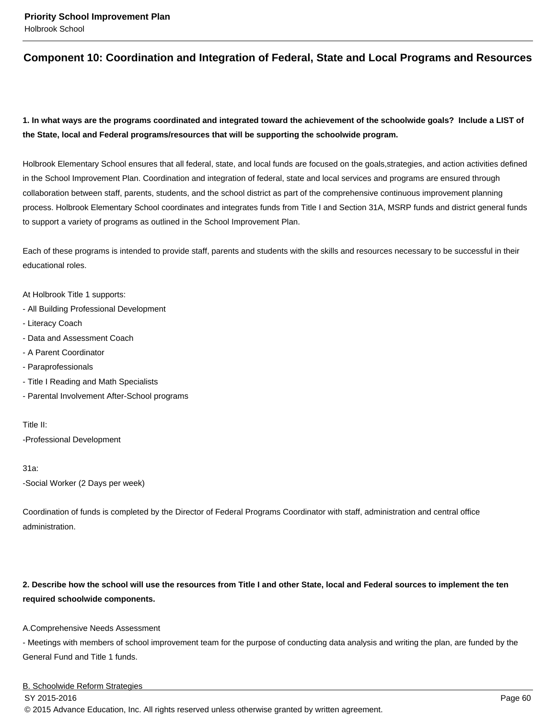# **Component 10: Coordination and Integration of Federal, State and Local Programs and Resources**

# **1. In what ways are the programs coordinated and integrated toward the achievement of the schoolwide goals? Include a LIST of the State, local and Federal programs/resources that will be supporting the schoolwide program.**

Holbrook Elementary School ensures that all federal, state, and local funds are focused on the goals,strategies, and action activities defined in the School Improvement Plan. Coordination and integration of federal, state and local services and programs are ensured through collaboration between staff, parents, students, and the school district as part of the comprehensive continuous improvement planning process. Holbrook Elementary School coordinates and integrates funds from Title I and Section 31A, MSRP funds and district general funds to support a variety of programs as outlined in the School Improvement Plan.

Each of these programs is intended to provide staff, parents and students with the skills and resources necessary to be successful in their educational roles.

At Holbrook Title 1 supports:

- All Building Professional Development
- Literacy Coach
- Data and Assessment Coach
- A Parent Coordinator
- Paraprofessionals
- Title I Reading and Math Specialists
- Parental Involvement After-School programs

Title II: -Professional Development

31a:

-Social Worker (2 Days per week)

Coordination of funds is completed by the Director of Federal Programs Coordinator with staff, administration and central office administration.

## **2. Describe how the school will use the resources from Title I and other State, local and Federal sources to implement the ten required schoolwide components.**

A.Comprehensive Needs Assessment

- Meetings with members of school improvement team for the purpose of conducting data analysis and writing the plan, are funded by the General Fund and Title 1 funds.

#### B. Schoolwide Reform Strategies

SY 2015-2016 Page 60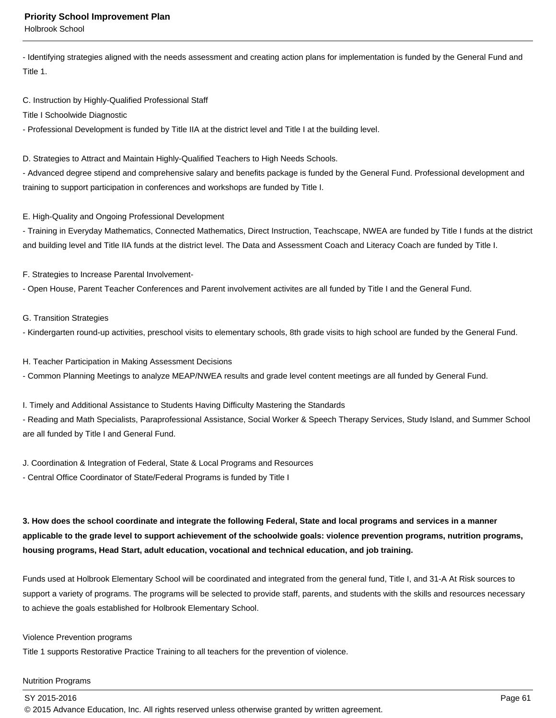Holbrook School

- Identifying strategies aligned with the needs assessment and creating action plans for implementation is funded by the General Fund and Title 1.

C. Instruction by Highly-Qualified Professional Staff

Title I Schoolwide Diagnostic

- Professional Development is funded by Title IIA at the district level and Title I at the building level.

D. Strategies to Attract and Maintain Highly-Qualified Teachers to High Needs Schools.

- Advanced degree stipend and comprehensive salary and benefits package is funded by the General Fund. Professional development and training to support participation in conferences and workshops are funded by Title I.

#### E. High-Quality and Ongoing Professional Development

- Training in Everyday Mathematics, Connected Mathematics, Direct Instruction, Teachscape, NWEA are funded by Title I funds at the district and building level and Title IIA funds at the district level. The Data and Assessment Coach and Literacy Coach are funded by Title I.

F. Strategies to Increase Parental Involvement-

- Open House, Parent Teacher Conferences and Parent involvement activites are all funded by Title I and the General Fund.

#### G. Transition Strategies

- Kindergarten round-up activities, preschool visits to elementary schools, 8th grade visits to high school are funded by the General Fund.

H. Teacher Participation in Making Assessment Decisions

- Common Planning Meetings to analyze MEAP/NWEA results and grade level content meetings are all funded by General Fund.

I. Timely and Additional Assistance to Students Having Difficulty Mastering the Standards

- Reading and Math Specialists, Paraprofessional Assistance, Social Worker & Speech Therapy Services, Study Island, and Summer School are all funded by Title I and General Fund.

J. Coordination & Integration of Federal, State & Local Programs and Resources

- Central Office Coordinator of State/Federal Programs is funded by Title I

**3. How does the school coordinate and integrate the following Federal, State and local programs and services in a manner applicable to the grade level to support achievement of the schoolwide goals: violence prevention programs, nutrition programs, housing programs, Head Start, adult education, vocational and technical education, and job training.** 

Funds used at Holbrook Elementary School will be coordinated and integrated from the general fund, Title I, and 31-A At Risk sources to support a variety of programs. The programs will be selected to provide staff, parents, and students with the skills and resources necessary to achieve the goals established for Holbrook Elementary School.

## Violence Prevention programs

Title 1 supports Restorative Practice Training to all teachers for the prevention of violence.

#### Nutrition Programs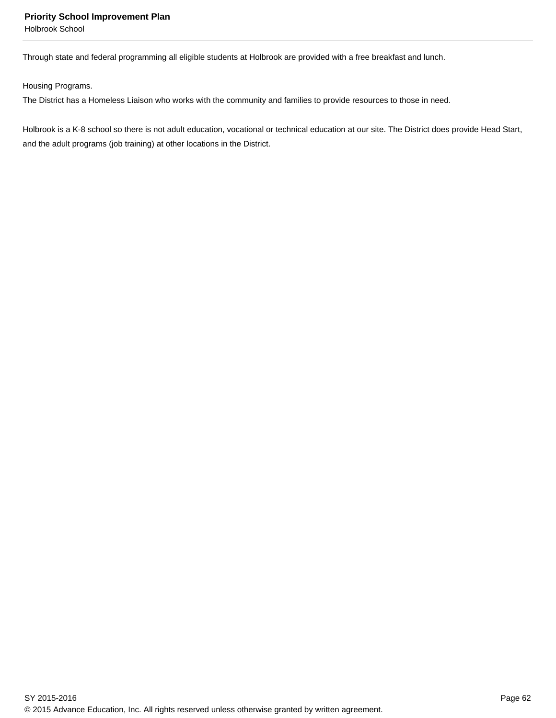Holbrook School

Through state and federal programming all eligible students at Holbrook are provided with a free breakfast and lunch.

Housing Programs.

The District has a Homeless Liaison who works with the community and families to provide resources to those in need.

Holbrook is a K-8 school so there is not adult education, vocational or technical education at our site. The District does provide Head Start, and the adult programs (job training) at other locations in the District.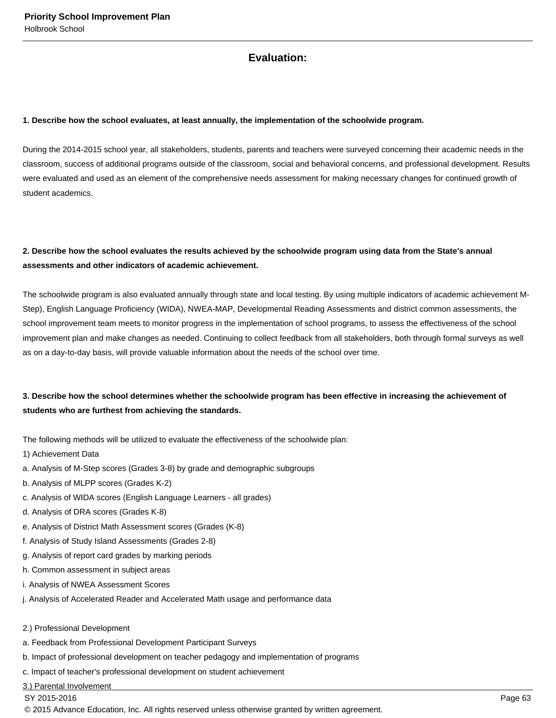# **Evaluation:**

#### **1. Describe how the school evaluates, at least annually, the implementation of the schoolwide program.**

During the 2014-2015 school year, all stakeholders, students, parents and teachers were surveyed concerning their academic needs in the classroom, success of additional programs outside of the classroom, social and behavioral concerns, and professional development. Results were evaluated and used as an element of the comprehensive needs assessment for making necessary changes for continued growth of student academics.

# **2. Describe how the school evaluates the results achieved by the schoolwide program using data from the State's annual assessments and other indicators of academic achievement.**

The schoolwide program is also evaluated annually through state and local testing. By using multiple indicators of academic achievement M-Step), English Language Proficiency (WIDA), NWEA-MAP, Developmental Reading Assessments and district common assessments, the school improvement team meets to monitor progress in the implementation of school programs, to assess the effectiveness of the school improvement plan and make changes as needed. Continuing to collect feedback from all stakeholders, both through formal surveys as well as on a day-to-day basis, will provide valuable information about the needs of the school over time.

# **3. Describe how the school determines whether the schoolwide program has been effective in increasing the achievement of students who are furthest from achieving the standards.**

The following methods will be utilized to evaluate the effectiveness of the schoolwide plan:

- 1) Achievement Data
- a. Analysis of M-Step scores (Grades 3-8) by grade and demographic subgroups
- b. Analysis of MLPP scores (Grades K-2)
- c. Analysis of WIDA scores (English Language Learners all grades)
- d. Analysis of DRA scores (Grades K-8)
- e. Analysis of District Math Assessment scores (Grades (K-8)
- f. Analysis of Study Island Assessments (Grades 2-8)
- g. Analysis of report card grades by marking periods
- h. Common assessment in subject areas
- i. Analysis of NWEA Assessment Scores
- j. Analysis of Accelerated Reader and Accelerated Math usage and performance data
- 2.) Professional Development
- a. Feedback from Professional Development Participant Surveys
- b. Impact of professional development on teacher pedagogy and implementation of programs
- c. Impact of teacher's professional development on student achievement

3.) Parental Involvement

SY 2015-2016 Page 63